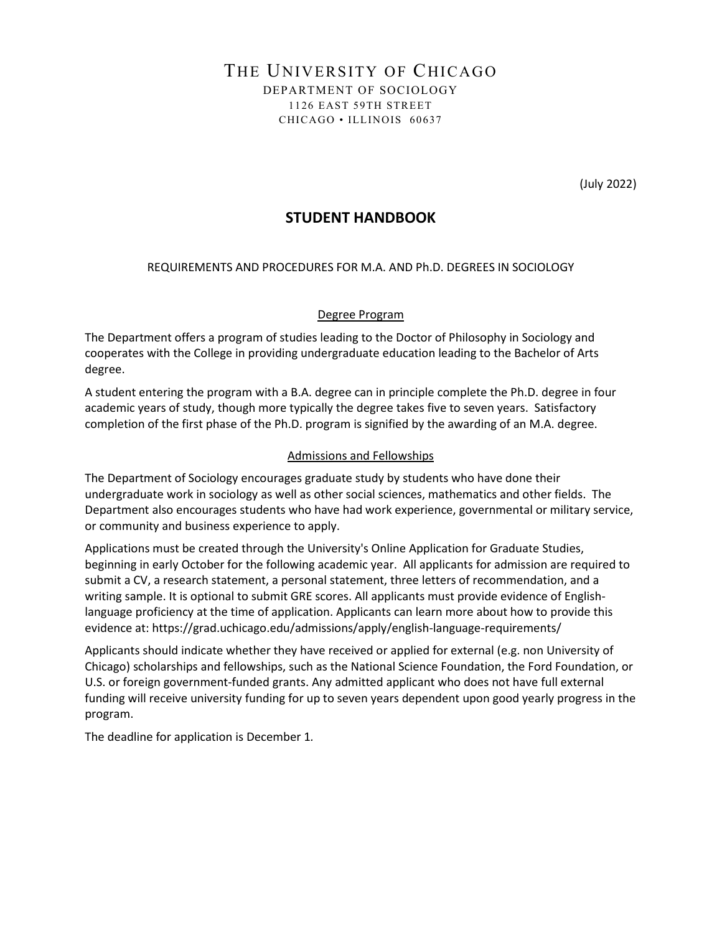# THE UNIVERSITY OF CHICAGO DEPARTMENT OF SOCIOLOGY 1126 EAST 59TH STREET CHICAGO • ILLINOIS 60637

(July 2022)

# **STUDENT HANDBOOK**

REQUIREMENTS AND PROCEDURES FOR M.A. AND Ph.D. DEGREES IN SOCIOLOGY

## Degree Program

The Department offers a program of studies leading to the Doctor of Philosophy in Sociology and cooperates with the College in providing undergraduate education leading to the Bachelor of Arts degree.

A student entering the program with a B.A. degree can in principle complete the Ph.D. degree in four academic years of study, though more typically the degree takes five to seven years. Satisfactory completion of the first phase of the Ph.D. program is signified by the awarding of an M.A. degree.

### Admissions and Fellowships

The Department of Sociology encourages graduate study by students who have done their undergraduate work in sociology as well as other social sciences, mathematics and other fields. The Department also encourages students who have had work experience, governmental or military service, or community and business experience to apply.

Applications must be created through the University's Online Application for Graduate Studies, beginning in early October for the following academic year. All applicants for admission are required to submit a CV, a research statement, a personal statement, three letters of recommendation, and a writing sample. It is optional to submit GRE scores. All applicants must provide evidence of Englishlanguage proficiency at the time of application. Applicants can learn more about how to provide this evidence at: https://grad.uchicago.edu/admissions/apply/english-language-requirements/

Applicants should indicate whether they have received or applied for external (e.g. non University of Chicago) scholarships and fellowships, such as the National Science Foundation, the Ford Foundation, or U.S. or foreign government-funded grants. Any admitted applicant who does not have full external funding will receive university funding for up to seven years dependent upon good yearly progress in the program.

The deadline for application is December 1*.*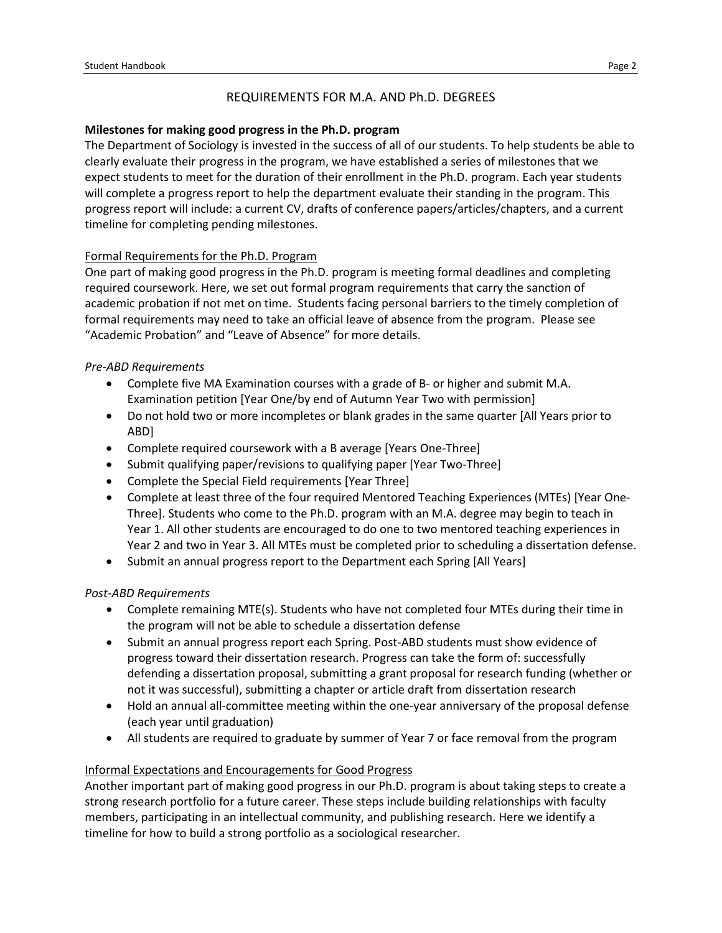## REQUIREMENTS FOR M.A. AND Ph.D. DEGREES

### **Milestones for making good progress in the Ph.D. program**

The Department of Sociology is invested in the success of all of our students. To help students be able to clearly evaluate their progress in the program, we have established a series of milestones that we expect students to meet for the duration of their enrollment in the Ph.D. program. Each year students will complete a progress report to help the department evaluate their standing in the program. This progress report will include: a current CV, drafts of conference papers/articles/chapters, and a current timeline for completing pending milestones.

### Formal Requirements for the Ph.D. Program

One part of making good progress in the Ph.D. program is meeting formal deadlines and completing required coursework. Here, we set out formal program requirements that carry the sanction of academic probation if not met on time. Students facing personal barriers to the timely completion of formal requirements may need to take an official leave of absence from the program. Please see "Academic Probation" and "Leave of Absence" for more details.

### *Pre-ABD Requirements*

- Complete five MA Examination courses with a grade of B- or higher and submit M.A. Examination petition [Year One/by end of Autumn Year Two with permission]
- Do not hold two or more incompletes or blank grades in the same quarter [All Years prior to ABD]
- Complete required coursework with a B average [Years One-Three]
- Submit qualifying paper/revisions to qualifying paper [Year Two-Three]
- Complete the Special Field requirements [Year Three]
- Complete at least three of the four required Mentored Teaching Experiences (MTEs) [Year One-Three]. Students who come to the Ph.D. program with an M.A. degree may begin to teach in Year 1. All other students are encouraged to do one to two mentored teaching experiences in Year 2 and two in Year 3. All MTEs must be completed prior to scheduling a dissertation defense.
- Submit an annual progress report to the Department each Spring [All Years]

### *Post-ABD Requirements*

- Complete remaining MTE(s). Students who have not completed four MTEs during their time in the program will not be able to schedule a dissertation defense
- Submit an annual progress report each Spring. Post-ABD students must show evidence of progress toward their dissertation research. Progress can take the form of: successfully defending a dissertation proposal, submitting a grant proposal for research funding (whether or not it was successful), submitting a chapter or article draft from dissertation research
- Hold an annual all-committee meeting within the one-year anniversary of the proposal defense (each year until graduation)
- All students are required to graduate by summer of Year 7 or face removal from the program

#### Informal Expectations and Encouragements for Good Progress

Another important part of making good progress in our Ph.D. program is about taking steps to create a strong research portfolio for a future career. These steps include building relationships with faculty members, participating in an intellectual community, and publishing research. Here we identify a timeline for how to build a strong portfolio as a sociological researcher.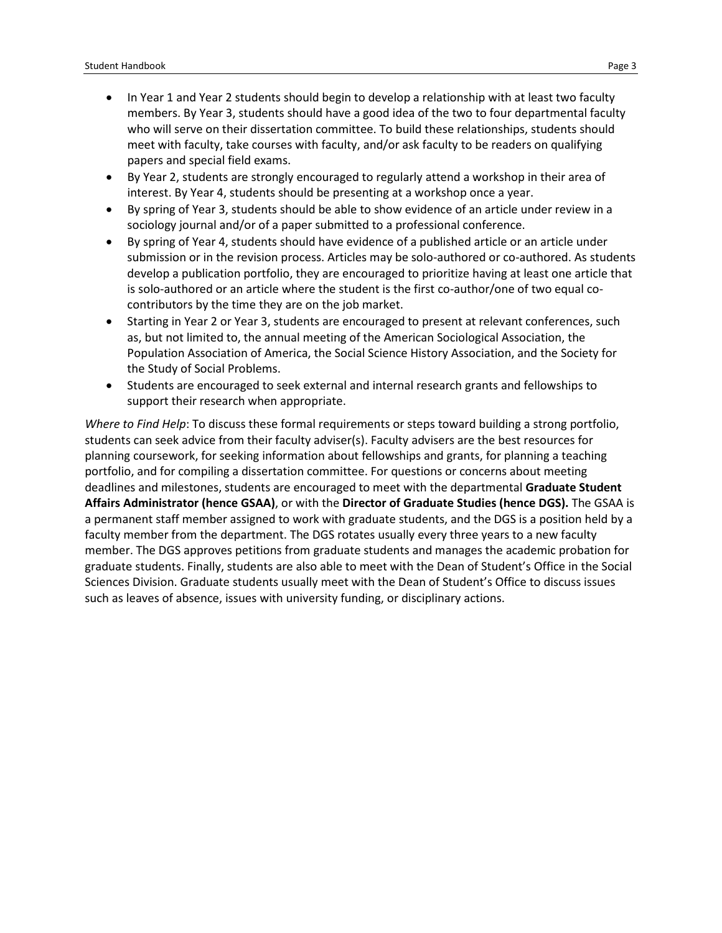- In Year 1 and Year 2 students should begin to develop a relationship with at least two faculty members. By Year 3, students should have a good idea of the two to four departmental faculty who will serve on their dissertation committee. To build these relationships, students should meet with faculty, take courses with faculty, and/or ask faculty to be readers on qualifying papers and special field exams.
- By Year 2, students are strongly encouraged to regularly attend a workshop in their area of interest. By Year 4, students should be presenting at a workshop once a year.
- By spring of Year 3, students should be able to show evidence of an article under review in a sociology journal and/or of a paper submitted to a professional conference.
- By spring of Year 4, students should have evidence of a published article or an article under submission or in the revision process. Articles may be solo-authored or co-authored. As students develop a publication portfolio, they are encouraged to prioritize having at least one article that is solo-authored or an article where the student is the first co-author/one of two equal cocontributors by the time they are on the job market.
- Starting in Year 2 or Year 3, students are encouraged to present at relevant conferences, such as, but not limited to, the annual meeting of the American Sociological Association, the Population Association of America, the Social Science History Association, and the Society for the Study of Social Problems.
- Students are encouraged to seek external and internal research grants and fellowships to support their research when appropriate.

*Where to Find Help*: To discuss these formal requirements or steps toward building a strong portfolio, students can seek advice from their faculty adviser(s). Faculty advisers are the best resources for planning coursework, for seeking information about fellowships and grants, for planning a teaching portfolio, and for compiling a dissertation committee. For questions or concerns about meeting deadlines and milestones, students are encouraged to meet with the departmental **Graduate Student Affairs Administrator (hence GSAA)**, or with the **Director of Graduate Studies (hence DGS).** The GSAA is a permanent staff member assigned to work with graduate students, and the DGS is a position held by a faculty member from the department. The DGS rotates usually every three years to a new faculty member. The DGS approves petitions from graduate students and manages the academic probation for graduate students. Finally, students are also able to meet with the Dean of Student's Office in the Social Sciences Division. Graduate students usually meet with the Dean of Student's Office to discuss issues such as leaves of absence, issues with university funding, or disciplinary actions.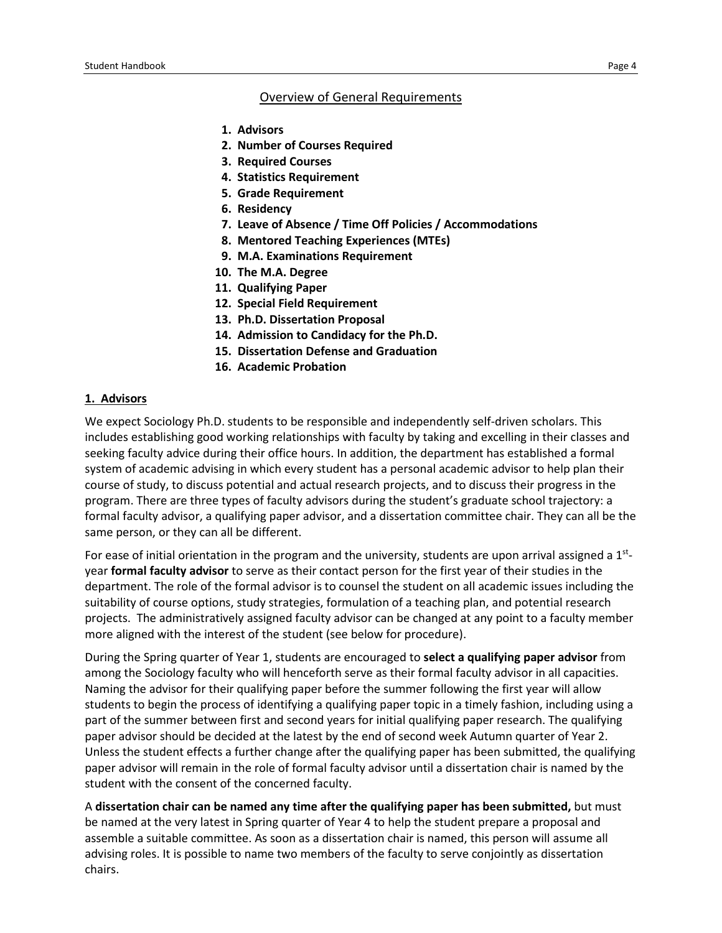#### Overview of General Requirements

- **1. Advisors**
- **2. Number of Courses Required**
- **3. Required Courses**
- **4. Statistics Requirement**
- **5. Grade Requirement**
- **6. Residency**
- **7. Leave of Absence / Time Off Policies / Accommodations**
- **8. Mentored Teaching Experiences (MTEs)**
- **9. M.A. Examinations Requirement**
- **10. The M.A. Degree**
- **11. Qualifying Paper**
- **12. Special Field Requirement**
- **13. Ph.D. Dissertation Proposal**
- **14. Admission to Candidacy for the Ph.D.**
- **15. Dissertation Defense and Graduation**
- **16. Academic Probation**

#### **1. Advisors**

We expect Sociology Ph.D. students to be responsible and independently self-driven scholars. This includes establishing good working relationships with faculty by taking and excelling in their classes and seeking faculty advice during their office hours. In addition, the department has established a formal system of academic advising in which every student has a personal academic advisor to help plan their course of study, to discuss potential and actual research projects, and to discuss their progress in the program. There are three types of faculty advisors during the student's graduate school trajectory: a formal faculty advisor, a qualifying paper advisor, and a dissertation committee chair. They can all be the same person, or they can all be different.

For ease of initial orientation in the program and the university, students are upon arrival assigned a 1<sup>st</sup>year **formal faculty advisor** to serve as their contact person for the first year of their studies in the department. The role of the formal advisor is to counsel the student on all academic issues including the suitability of course options, study strategies, formulation of a teaching plan, and potential research projects. The administratively assigned faculty advisor can be changed at any point to a faculty member more aligned with the interest of the student (see below for procedure).

During the Spring quarter of Year 1, students are encouraged to **select a qualifying paper advisor** from among the Sociology faculty who will henceforth serve as their formal faculty advisor in all capacities. Naming the advisor for their qualifying paper before the summer following the first year will allow students to begin the process of identifying a qualifying paper topic in a timely fashion, including using a part of the summer between first and second years for initial qualifying paper research. The qualifying paper advisor should be decided at the latest by the end of second week Autumn quarter of Year 2. Unless the student effects a further change after the qualifying paper has been submitted, the qualifying paper advisor will remain in the role of formal faculty advisor until a dissertation chair is named by the student with the consent of the concerned faculty.

A **dissertation chair can be named any time after the qualifying paper has been submitted,** but must be named at the very latest in Spring quarter of Year 4 to help the student prepare a proposal and assemble a suitable committee. As soon as a dissertation chair is named, this person will assume all advising roles. It is possible to name two members of the faculty to serve conjointly as dissertation chairs.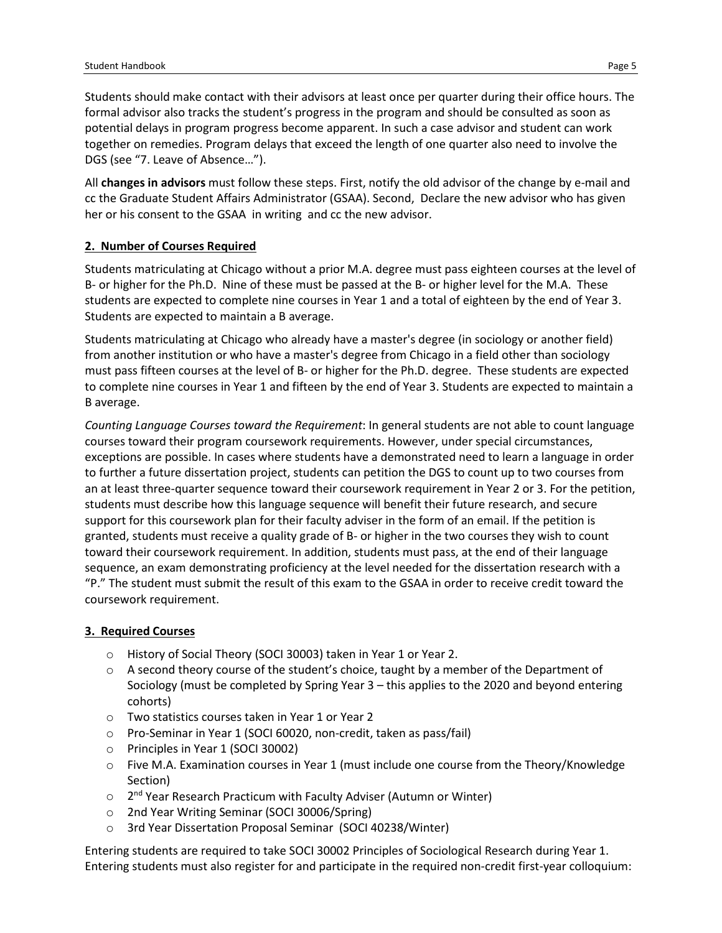Students should make contact with their advisors at least once per quarter during their office hours. The formal advisor also tracks the student's progress in the program and should be consulted as soon as potential delays in program progress become apparent. In such a case advisor and student can work together on remedies. Program delays that exceed the length of one quarter also need to involve the DGS (see "7. Leave of Absence…").

All **changes in advisors** must follow these steps. First, notify the old advisor of the change by e-mail and cc the Graduate Student Affairs Administrator (GSAA). Second, Declare the new advisor who has given her or his consent to the GSAA in writing and cc the new advisor.

# **2. Number of Courses Required**

Students matriculating at Chicago without a prior M.A. degree must pass eighteen courses at the level of B- or higher for the Ph.D. Nine of these must be passed at the B- or higher level for the M.A. These students are expected to complete nine courses in Year 1 and a total of eighteen by the end of Year 3. Students are expected to maintain a B average.

Students matriculating at Chicago who already have a master's degree (in sociology or another field) from another institution or who have a master's degree from Chicago in a field other than sociology must pass fifteen courses at the level of B- or higher for the Ph.D. degree. These students are expected to complete nine courses in Year 1 and fifteen by the end of Year 3. Students are expected to maintain a B average.

*Counting Language Courses toward the Requirement*: In general students are not able to count language courses toward their program coursework requirements. However, under special circumstances, exceptions are possible. In cases where students have a demonstrated need to learn a language in order to further a future dissertation project, students can petition the DGS to count up to two courses from an at least three-quarter sequence toward their coursework requirement in Year 2 or 3. For the petition, students must describe how this language sequence will benefit their future research, and secure support for this coursework plan for their faculty adviser in the form of an email. If the petition is granted, students must receive a quality grade of B- or higher in the two courses they wish to count toward their coursework requirement. In addition, students must pass, at the end of their language sequence, an exam demonstrating proficiency at the level needed for the dissertation research with a "P." The student must submit the result of this exam to the GSAA in order to receive credit toward the coursework requirement.

# **3. Required Courses**

- o History of Social Theory (SOCI 30003) taken in Year 1 or Year 2.
- $\circ$  A second theory course of the student's choice, taught by a member of the Department of Sociology (must be completed by Spring Year 3 – this applies to the 2020 and beyond entering cohorts)
- o Two statistics courses taken in Year 1 or Year 2
- o Pro-Seminar in Year 1 (SOCI 60020, non-credit, taken as pass/fail)
- o Principles in Year 1 (SOCI 30002)
- $\circ$  Five M.A. Examination courses in Year 1 (must include one course from the Theory/Knowledge Section)
- $\circ$  2<sup>nd</sup> Year Research Practicum with Faculty Adviser (Autumn or Winter)
- o 2nd Year Writing Seminar (SOCI 30006/Spring)
- o 3rd Year Dissertation Proposal Seminar (SOCI 40238/Winter)

Entering students are required to take SOCI 30002 Principles of Sociological Research during Year 1. Entering students must also register for and participate in the required non-credit first-year colloquium: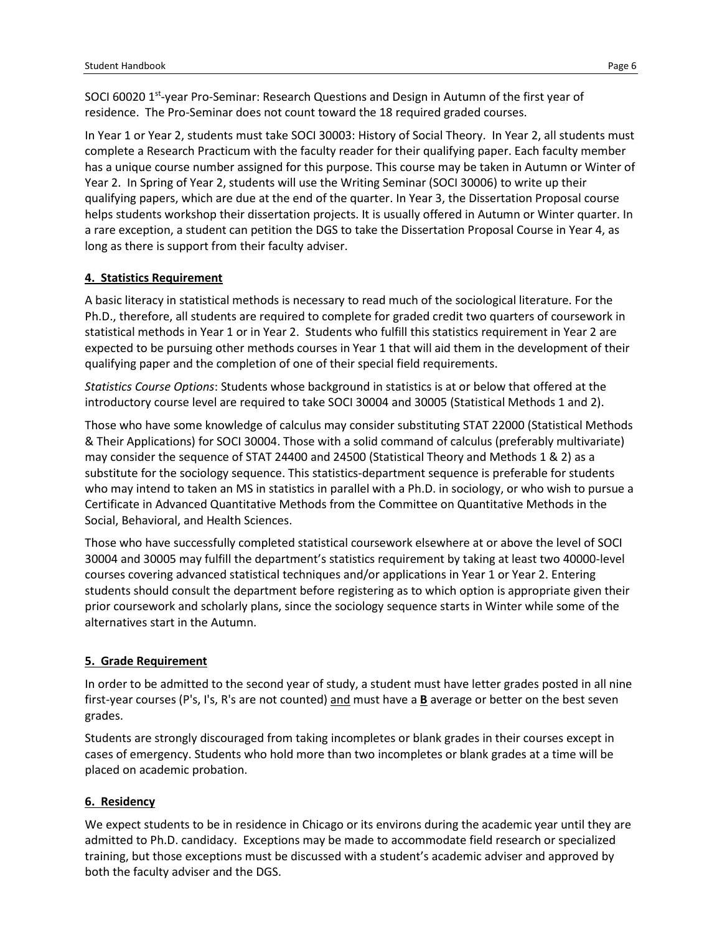SOCI 60020 1<sup>st</sup>-year Pro-Seminar: Research Questions and Design in Autumn of the first year of residence. The Pro-Seminar does not count toward the 18 required graded courses.

In Year 1 or Year 2, students must take SOCI 30003: History of Social Theory. In Year 2, all students must complete a Research Practicum with the faculty reader for their qualifying paper. Each faculty member has a unique course number assigned for this purpose. This course may be taken in Autumn or Winter of Year 2. In Spring of Year 2, students will use the Writing Seminar (SOCI 30006) to write up their qualifying papers, which are due at the end of the quarter. In Year 3, the Dissertation Proposal course helps students workshop their dissertation projects. It is usually offered in Autumn or Winter quarter. In a rare exception, a student can petition the DGS to take the Dissertation Proposal Course in Year 4, as long as there is support from their faculty adviser.

## **4. Statistics Requirement**

A basic literacy in statistical methods is necessary to read much of the sociological literature. For the Ph.D., therefore, all students are required to complete for graded credit two quarters of coursework in statistical methods in Year 1 or in Year 2. Students who fulfill this statistics requirement in Year 2 are expected to be pursuing other methods courses in Year 1 that will aid them in the development of their qualifying paper and the completion of one of their special field requirements.

*Statistics Course Options*: Students whose background in statistics is at or below that offered at the introductory course level are required to take SOCI 30004 and 30005 (Statistical Methods 1 and 2).

Those who have some knowledge of calculus may consider substituting STAT 22000 (Statistical Methods & Their Applications) for SOCI 30004. Those with a solid command of calculus (preferably multivariate) may consider the sequence of STAT 24400 and 24500 (Statistical Theory and Methods 1 & 2) as a substitute for the sociology sequence. This statistics-department sequence is preferable for students who may intend to taken an MS in statistics in parallel with a Ph.D. in sociology, or who wish to pursue a Certificate in Advanced Quantitative Methods from the Committee on Quantitative Methods in the Social, Behavioral, and Health Sciences.

Those who have successfully completed statistical coursework elsewhere at or above the level of SOCI 30004 and 30005 may fulfill the department's statistics requirement by taking at least two 40000-level courses covering advanced statistical techniques and/or applications in Year 1 or Year 2. Entering students should consult the department before registering as to which option is appropriate given their prior coursework and scholarly plans, since the sociology sequence starts in Winter while some of the alternatives start in the Autumn.

# **5. Grade Requirement**

In order to be admitted to the second year of study, a student must have letter grades posted in all nine first-year courses (P's, I's, R's are not counted) and must have a **B** average or better on the best seven grades.

Students are strongly discouraged from taking incompletes or blank grades in their courses except in cases of emergency. Students who hold more than two incompletes or blank grades at a time will be placed on academic probation.

# **6. Residency**

We expect students to be in residence in Chicago or its environs during the academic year until they are admitted to Ph.D. candidacy. Exceptions may be made to accommodate field research or specialized training, but those exceptions must be discussed with a student's academic adviser and approved by both the faculty adviser and the DGS.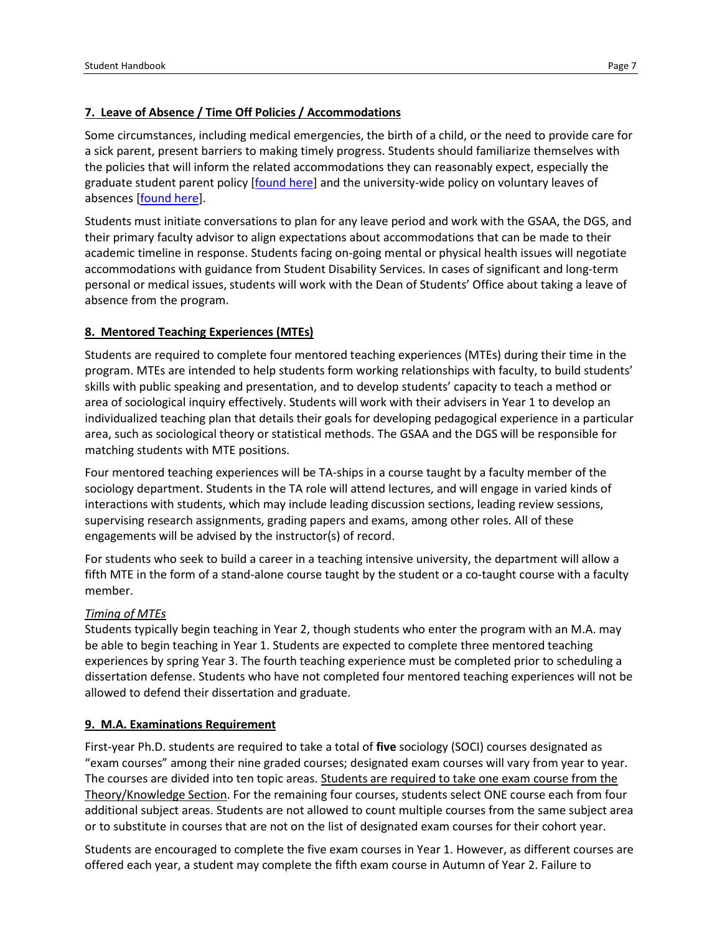Some circumstances, including medical emergencies, the birth of a child, or the need to provide care for a sick parent, present barriers to making timely progress. Students should familiarize themselves with the policies that will inform the related accommodations they can reasonably expect, especially the graduate student parent policy [\[found here\]](https://studentmanual.uchicago.edu/university-policies/graduate-student-parent-policy/) and the university-wide policy on voluntary leaves of absences [\[found here\]](https://studentmanual.uchicago.edu/academic-policies/voluntary-leaves-of-absence/).

Students must initiate conversations to plan for any leave period and work with the GSAA, the DGS, and their primary faculty advisor to align expectations about accommodations that can be made to their academic timeline in response. Students facing on-going mental or physical health issues will negotiate accommodations with guidance from Student Disability Services. In cases of significant and long-term personal or medical issues, students will work with the Dean of Students' Office about taking a leave of absence from the program.

## **8. Mentored Teaching Experiences (MTEs)**

Students are required to complete four mentored teaching experiences (MTEs) during their time in the program. MTEs are intended to help students form working relationships with faculty, to build students' skills with public speaking and presentation, and to develop students' capacity to teach a method or area of sociological inquiry effectively. Students will work with their advisers in Year 1 to develop an individualized teaching plan that details their goals for developing pedagogical experience in a particular area, such as sociological theory or statistical methods. The GSAA and the DGS will be responsible for matching students with MTE positions.

Four mentored teaching experiences will be TA-ships in a course taught by a faculty member of the sociology department. Students in the TA role will attend lectures, and will engage in varied kinds of interactions with students, which may include leading discussion sections, leading review sessions, supervising research assignments, grading papers and exams, among other roles. All of these engagements will be advised by the instructor(s) of record.

For students who seek to build a career in a teaching intensive university, the department will allow a fifth MTE in the form of a stand-alone course taught by the student or a co-taught course with a faculty member.

### *Timing of MTEs*

Students typically begin teaching in Year 2, though students who enter the program with an M.A. may be able to begin teaching in Year 1. Students are expected to complete three mentored teaching experiences by spring Year 3. The fourth teaching experience must be completed prior to scheduling a dissertation defense. Students who have not completed four mentored teaching experiences will not be allowed to defend their dissertation and graduate.

### **9. M.A. Examinations Requirement**

First-year Ph.D. students are required to take a total of **five** sociology (SOCI) courses designated as "exam courses" among their nine graded courses; designated exam courses will vary from year to year. The courses are divided into ten topic areas. Students are required to take one exam course from the Theory/Knowledge Section. For the remaining four courses, students select ONE course each from four additional subject areas. Students are not allowed to count multiple courses from the same subject area or to substitute in courses that are not on the list of designated exam courses for their cohort year.

Students are encouraged to complete the five exam courses in Year 1. However, as different courses are offered each year, a student may complete the fifth exam course in Autumn of Year 2. Failure to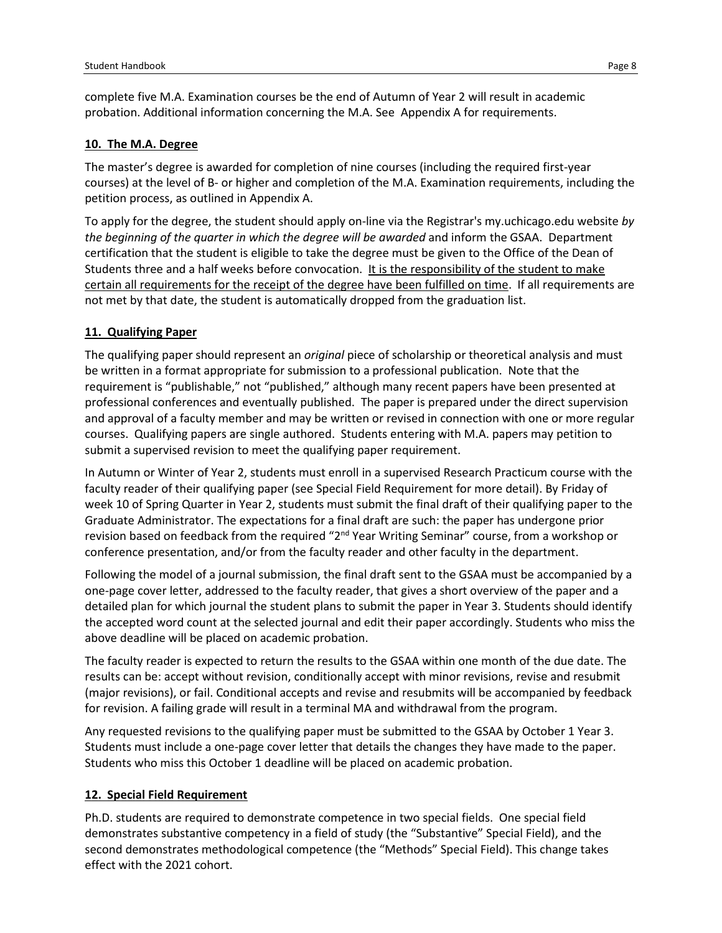## **10. The M.A. Degree**

The master's degree is awarded for completion of nine courses (including the required first-year courses) at the level of B- or higher and completion of the M.A. Examination requirements, including the petition process, as outlined in Appendix A.

To apply for the degree, the student should apply on-line via the Registrar's my.uchicago.edu website *by the beginning of the quarter in which the degree will be awarded* and inform the GSAA. Department certification that the student is eligible to take the degree must be given to the Office of the Dean of Students three and a half weeks before convocation. It is the responsibility of the student to make certain all requirements for the receipt of the degree have been fulfilled on time. If all requirements are not met by that date, the student is automatically dropped from the graduation list.

# **11. Qualifying Paper**

The qualifying paper should represent an *original* piece of scholarship or theoretical analysis and must be written in a format appropriate for submission to a professional publication. Note that the requirement is "publishable," not "published," although many recent papers have been presented at professional conferences and eventually published. The paper is prepared under the direct supervision and approval of a faculty member and may be written or revised in connection with one or more regular courses. Qualifying papers are single authored. Students entering with M.A. papers may petition to submit a supervised revision to meet the qualifying paper requirement.

In Autumn or Winter of Year 2, students must enroll in a supervised Research Practicum course with the faculty reader of their qualifying paper (see Special Field Requirement for more detail). By Friday of week 10 of Spring Quarter in Year 2, students must submit the final draft of their qualifying paper to the Graduate Administrator. The expectations for a final draft are such: the paper has undergone prior revision based on feedback from the required "2<sup>nd</sup> Year Writing Seminar" course, from a workshop or conference presentation, and/or from the faculty reader and other faculty in the department.

Following the model of a journal submission, the final draft sent to the GSAA must be accompanied by a one-page cover letter, addressed to the faculty reader, that gives a short overview of the paper and a detailed plan for which journal the student plans to submit the paper in Year 3. Students should identify the accepted word count at the selected journal and edit their paper accordingly. Students who miss the above deadline will be placed on academic probation.

The faculty reader is expected to return the results to the GSAA within one month of the due date. The results can be: accept without revision, conditionally accept with minor revisions, revise and resubmit (major revisions), or fail. Conditional accepts and revise and resubmits will be accompanied by feedback for revision. A failing grade will result in a terminal MA and withdrawal from the program.

Any requested revisions to the qualifying paper must be submitted to the GSAA by October 1 Year 3. Students must include a one-page cover letter that details the changes they have made to the paper. Students who miss this October 1 deadline will be placed on academic probation.

# **12. Special Field Requirement**

Ph.D. students are required to demonstrate competence in two special fields. One special field demonstrates substantive competency in a field of study (the "Substantive" Special Field), and the second demonstrates methodological competence (the "Methods" Special Field). This change takes effect with the 2021 cohort.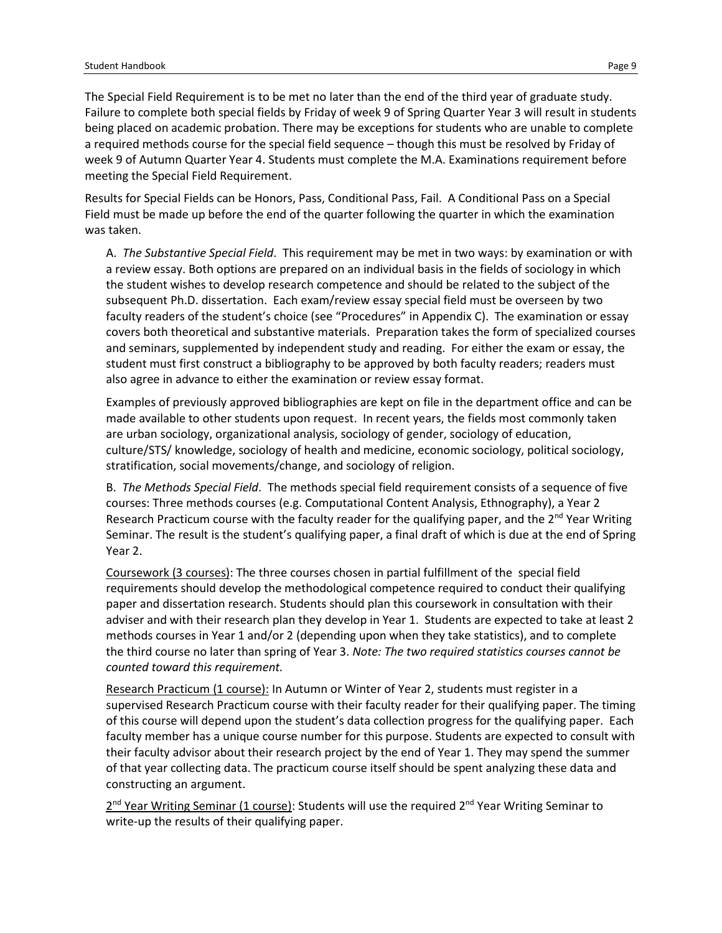The Special Field Requirement is to be met no later than the end of the third year of graduate study. Failure to complete both special fields by Friday of week 9 of Spring Quarter Year 3 will result in students being placed on academic probation. There may be exceptions for students who are unable to complete a required methods course for the special field sequence – though this must be resolved by Friday of week 9 of Autumn Quarter Year 4. Students must complete the M.A. Examinations requirement before meeting the Special Field Requirement.

Results for Special Fields can be Honors, Pass, Conditional Pass, Fail. A Conditional Pass on a Special Field must be made up before the end of the quarter following the quarter in which the examination was taken.

A. *The Substantive Special Field*. This requirement may be met in two ways: by examination or with a review essay. Both options are prepared on an individual basis in the fields of sociology in which the student wishes to develop research competence and should be related to the subject of the subsequent Ph.D. dissertation. Each exam/review essay special field must be overseen by two faculty readers of the student's choice (see "Procedures" in Appendix C). The examination or essay covers both theoretical and substantive materials. Preparation takes the form of specialized courses and seminars, supplemented by independent study and reading. For either the exam or essay, the student must first construct a bibliography to be approved by both faculty readers; readers must also agree in advance to either the examination or review essay format.

Examples of previously approved bibliographies are kept on file in the department office and can be made available to other students upon request. In recent years, the fields most commonly taken are urban sociology, organizational analysis, sociology of gender, sociology of education, culture/STS/ knowledge, sociology of health and medicine, economic sociology, political sociology, stratification, social movements/change, and sociology of religion.

B. *The Methods Special Field*. The methods special field requirement consists of a sequence of five courses: Three methods courses (e.g. Computational Content Analysis, Ethnography), a Year 2 Research Practicum course with the faculty reader for the qualifying paper, and the  $2^{nd}$  Year Writing Seminar. The result is the student's qualifying paper, a final draft of which is due at the end of Spring Year 2.

Coursework (3 courses): The three courses chosen in partial fulfillment of the special field requirements should develop the methodological competence required to conduct their qualifying paper and dissertation research. Students should plan this coursework in consultation with their adviser and with their research plan they develop in Year 1. Students are expected to take at least 2 methods courses in Year 1 and/or 2 (depending upon when they take statistics), and to complete the third course no later than spring of Year 3. *Note: The two required statistics courses cannot be counted toward this requirement.* 

Research Practicum (1 course): In Autumn or Winter of Year 2, students must register in a supervised Research Practicum course with their faculty reader for their qualifying paper. The timing of this course will depend upon the student's data collection progress for the qualifying paper. Each faculty member has a unique course number for this purpose. Students are expected to consult with their faculty advisor about their research project by the end of Year 1. They may spend the summer of that year collecting data. The practicum course itself should be spent analyzing these data and constructing an argument.

 $2^{nd}$  Year Writing Seminar (1 course): Students will use the required  $2^{nd}$  Year Writing Seminar to write-up the results of their qualifying paper.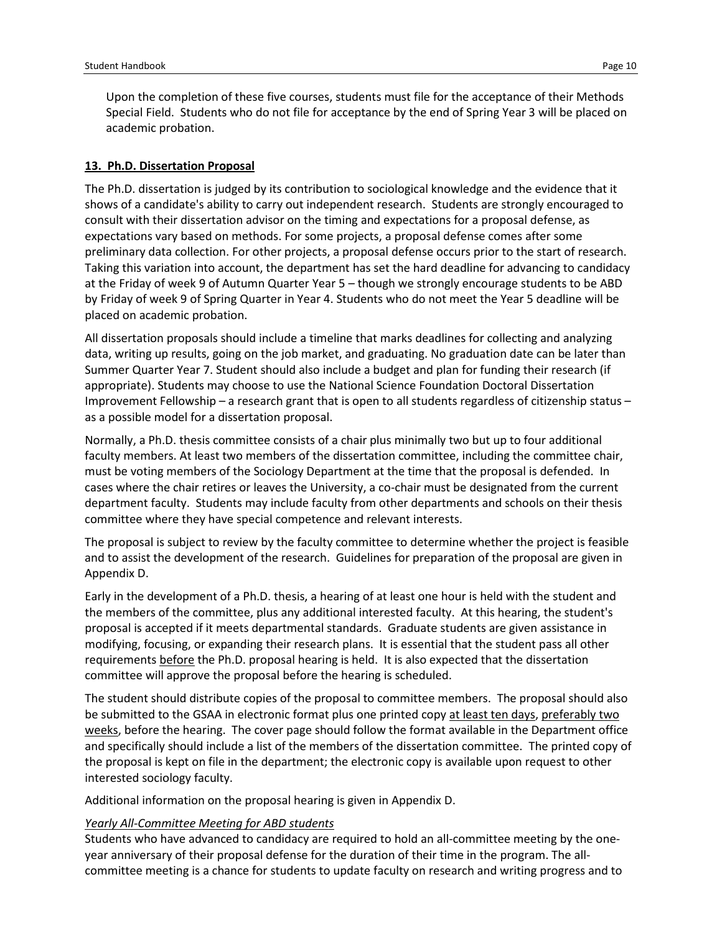Upon the completion of these five courses, students must file for the acceptance of their Methods Special Field. Students who do not file for acceptance by the end of Spring Year 3 will be placed on academic probation.

#### **13. Ph.D. Dissertation Proposal**

The Ph.D. dissertation is judged by its contribution to sociological knowledge and the evidence that it shows of a candidate's ability to carry out independent research. Students are strongly encouraged to consult with their dissertation advisor on the timing and expectations for a proposal defense, as expectations vary based on methods. For some projects, a proposal defense comes after some preliminary data collection. For other projects, a proposal defense occurs prior to the start of research. Taking this variation into account, the department has set the hard deadline for advancing to candidacy at the Friday of week 9 of Autumn Quarter Year 5 – though we strongly encourage students to be ABD by Friday of week 9 of Spring Quarter in Year 4. Students who do not meet the Year 5 deadline will be placed on academic probation.

All dissertation proposals should include a timeline that marks deadlines for collecting and analyzing data, writing up results, going on the job market, and graduating. No graduation date can be later than Summer Quarter Year 7. Student should also include a budget and plan for funding their research (if appropriate). Students may choose to use the National Science Foundation Doctoral Dissertation Improvement Fellowship – a research grant that is open to all students regardless of citizenship status – as a possible model for a dissertation proposal.

Normally, a Ph.D. thesis committee consists of a chair plus minimally two but up to four additional faculty members. At least two members of the dissertation committee, including the committee chair, must be voting members of the Sociology Department at the time that the proposal is defended. In cases where the chair retires or leaves the University, a co-chair must be designated from the current department faculty. Students may include faculty from other departments and schools on their thesis committee where they have special competence and relevant interests.

The proposal is subject to review by the faculty committee to determine whether the project is feasible and to assist the development of the research. Guidelines for preparation of the proposal are given in Appendix D.

Early in the development of a Ph.D. thesis, a hearing of at least one hour is held with the student and the members of the committee, plus any additional interested faculty. At this hearing, the student's proposal is accepted if it meets departmental standards. Graduate students are given assistance in modifying, focusing, or expanding their research plans. It is essential that the student pass all other requirements before the Ph.D. proposal hearing is held. It is also expected that the dissertation committee will approve the proposal before the hearing is scheduled.

The student should distribute copies of the proposal to committee members. The proposal should also be submitted to the GSAA in electronic format plus one printed copy at least ten days, preferably two weeks, before the hearing. The cover page should follow the format available in the Department office and specifically should include a list of the members of the dissertation committee. The printed copy of the proposal is kept on file in the department; the electronic copy is available upon request to other interested sociology faculty.

Additional information on the proposal hearing is given in Appendix D.

#### *Yearly All-Committee Meeting for ABD students*

Students who have advanced to candidacy are required to hold an all-committee meeting by the oneyear anniversary of their proposal defense for the duration of their time in the program. The allcommittee meeting is a chance for students to update faculty on research and writing progress and to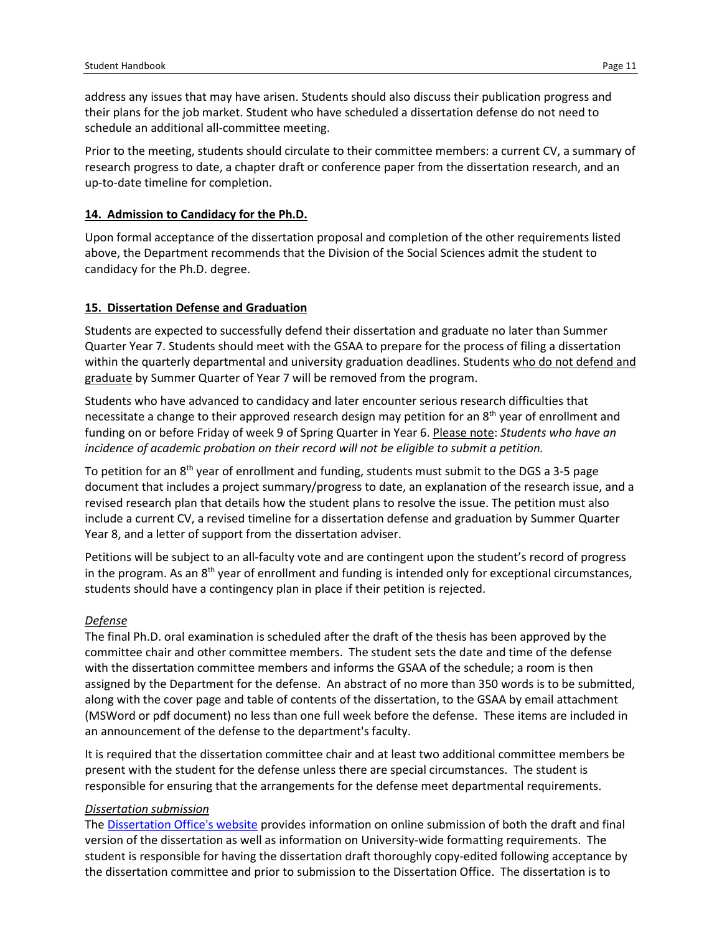address any issues that may have arisen. Students should also discuss their publication progress and their plans for the job market. Student who have scheduled a dissertation defense do not need to schedule an additional all-committee meeting.

Prior to the meeting, students should circulate to their committee members: a current CV, a summary of research progress to date, a chapter draft or conference paper from the dissertation research, and an up-to-date timeline for completion.

#### **14. Admission to Candidacy for the Ph.D.**

Upon formal acceptance of the dissertation proposal and completion of the other requirements listed above, the Department recommends that the Division of the Social Sciences admit the student to candidacy for the Ph.D. degree.

#### **15. Dissertation Defense and Graduation**

Students are expected to successfully defend their dissertation and graduate no later than Summer Quarter Year 7. Students should meet with the GSAA to prepare for the process of filing a dissertation within the quarterly departmental and university graduation deadlines. Students who do not defend and graduate by Summer Quarter of Year 7 will be removed from the program.

Students who have advanced to candidacy and later encounter serious research difficulties that necessitate a change to their approved research design may petition for an 8<sup>th</sup> year of enrollment and funding on or before Friday of week 9 of Spring Quarter in Year 6. Please note: *Students who have an incidence of academic probation on their record will not be eligible to submit a petition.*

To petition for an  $8<sup>th</sup>$  year of enrollment and funding, students must submit to the DGS a 3-5 page document that includes a project summary/progress to date, an explanation of the research issue, and a revised research plan that details how the student plans to resolve the issue. The petition must also include a current CV, a revised timeline for a dissertation defense and graduation by Summer Quarter Year 8, and a letter of support from the dissertation adviser.

Petitions will be subject to an all-faculty vote and are contingent upon the student's record of progress in the program. As an  $8<sup>th</sup>$  year of enrollment and funding is intended only for exceptional circumstances, students should have a contingency plan in place if their petition is rejected.

#### *Defense*

The final Ph.D. oral examination is scheduled after the draft of the thesis has been approved by the committee chair and other committee members. The student sets the date and time of the defense with the dissertation committee members and informs the GSAA of the schedule; a room is then assigned by the Department for the defense. An abstract of no more than 350 words is to be submitted, along with the cover page and table of contents of the dissertation, to the GSAA by email attachment (MSWord or pdf document) no less than one full week before the defense. These items are included in an announcement of the defense to the department's faculty.

It is required that the dissertation committee chair and at least two additional committee members be present with the student for the defense unless there are special circumstances. The student is responsible for ensuring that the arrangements for the defense meet departmental requirements.

#### *Dissertation submission*

The [Dissertation Office's website](https://www.lib.uchicago.edu/research/scholar/phd/) provides information on online submission of both the draft and final version of the dissertation as well as information on University-wide formatting requirements. The student is responsible for having the dissertation draft thoroughly copy-edited following acceptance by the dissertation committee and prior to submission to the Dissertation Office. The dissertation is to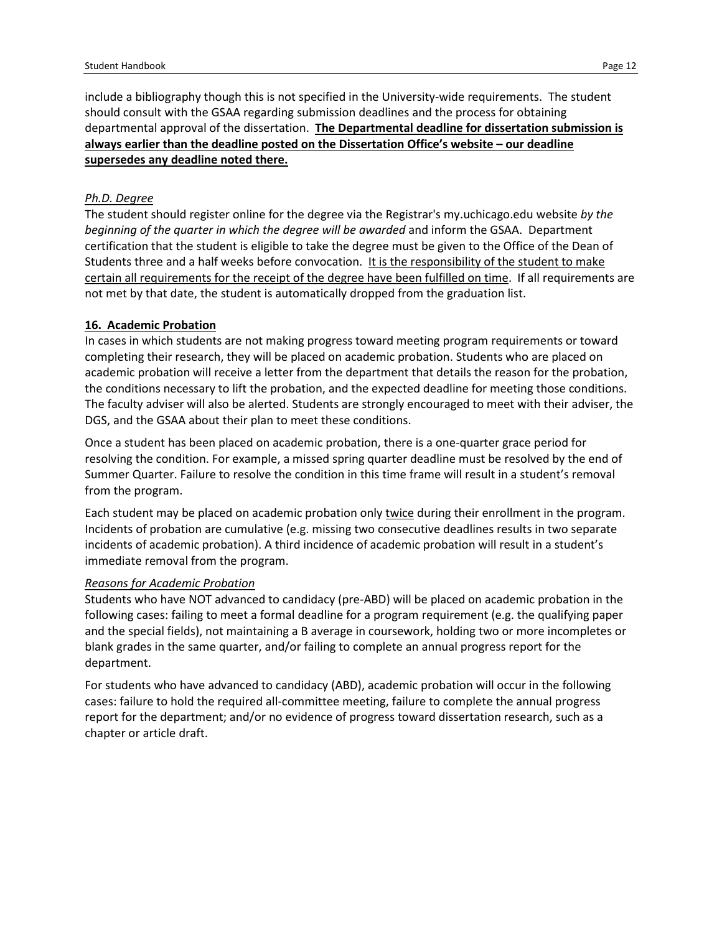include a bibliography though this is not specified in the University-wide requirements. The student should consult with the GSAA regarding submission deadlines and the process for obtaining departmental approval of the dissertation. **The Departmental deadline for dissertation submission is always earlier than the deadline posted on the Dissertation Office's website – our deadline supersedes any deadline noted there.**

### *Ph.D. Degree*

The student should register online for the degree via the Registrar's my.uchicago.edu website *by the beginning of the quarter in which the degree will be awarded* and inform the GSAA. Department certification that the student is eligible to take the degree must be given to the Office of the Dean of Students three and a half weeks before convocation. It is the responsibility of the student to make certain all requirements for the receipt of the degree have been fulfilled on time. If all requirements are not met by that date, the student is automatically dropped from the graduation list.

#### **16. Academic Probation**

In cases in which students are not making progress toward meeting program requirements or toward completing their research, they will be placed on academic probation. Students who are placed on academic probation will receive a letter from the department that details the reason for the probation, the conditions necessary to lift the probation, and the expected deadline for meeting those conditions. The faculty adviser will also be alerted. Students are strongly encouraged to meet with their adviser, the DGS, and the GSAA about their plan to meet these conditions.

Once a student has been placed on academic probation, there is a one-quarter grace period for resolving the condition. For example, a missed spring quarter deadline must be resolved by the end of Summer Quarter. Failure to resolve the condition in this time frame will result in a student's removal from the program.

Each student may be placed on academic probation only twice during their enrollment in the program. Incidents of probation are cumulative (e.g. missing two consecutive deadlines results in two separate incidents of academic probation). A third incidence of academic probation will result in a student's immediate removal from the program.

#### *Reasons for Academic Probation*

Students who have NOT advanced to candidacy (pre-ABD) will be placed on academic probation in the following cases: failing to meet a formal deadline for a program requirement (e.g. the qualifying paper and the special fields), not maintaining a B average in coursework, holding two or more incompletes or blank grades in the same quarter, and/or failing to complete an annual progress report for the department.

For students who have advanced to candidacy (ABD), academic probation will occur in the following cases: failure to hold the required all-committee meeting, failure to complete the annual progress report for the department; and/or no evidence of progress toward dissertation research, such as a chapter or article draft.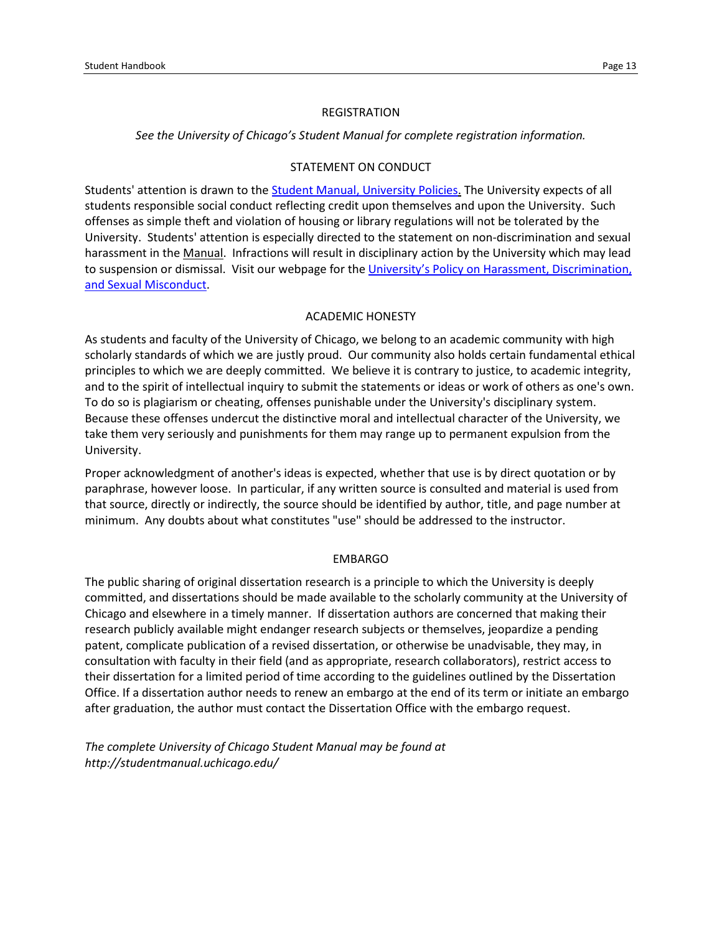#### REGISTRATION

*See the University of Chicago's Student Manual for complete registration information.*

#### STATEMENT ON CONDUCT

Students' attention is drawn to the Student Manual, [University Policies.](https://studentmanual.uchicago.edu/) The University expects of all students responsible social conduct reflecting credit upon themselves and upon the University. Such offenses as simple theft and violation of housing or library regulations will not be tolerated by the University. Students' attention is especially directed to the statement on non-discrimination and sexual harassment in the Manual. Infractions will result in disciplinary action by the University which may lead to suspension or dismissal. Visit our webpage for the University's Policy on Harassment, Discrimination, [and Sexual Misconduct.](https://studentmanual.uchicago.edu/university-policies/university-of-chicago-policy-on-harassment-discrimination-and-sexual-miscon/)

#### ACADEMIC HONESTY

As students and faculty of the University of Chicago, we belong to an academic community with high scholarly standards of which we are justly proud. Our community also holds certain fundamental ethical principles to which we are deeply committed. We believe it is contrary to justice, to academic integrity, and to the spirit of intellectual inquiry to submit the statements or ideas or work of others as one's own. To do so is plagiarism or cheating, offenses punishable under the University's disciplinary system. Because these offenses undercut the distinctive moral and intellectual character of the University, we take them very seriously and punishments for them may range up to permanent expulsion from the University.

Proper acknowledgment of another's ideas is expected, whether that use is by direct quotation or by paraphrase, however loose. In particular, if any written source is consulted and material is used from that source, directly or indirectly, the source should be identified by author, title, and page number at minimum. Any doubts about what constitutes "use" should be addressed to the instructor.

#### EMBARGO

The public sharing of original dissertation research is a principle to which the University is deeply committed, and dissertations should be made available to the scholarly community at the University of Chicago and elsewhere in a timely manner. If dissertation authors are concerned that making their research publicly available might endanger research subjects or themselves, jeopardize a pending patent, complicate publication of a revised dissertation, or otherwise be unadvisable, they may, in consultation with faculty in their field (and as appropriate, research collaborators), restrict access to their dissertation for a limited period of time according to the [guidelines](https://www.lib.uchicago.edu/research/scholar/phd/students/embargo-procedures/) outlined by the Dissertation Office. If a dissertation author needs to renew an embargo at the end of its term or initiate an embargo after graduation, the author must contact the Dissertation Office with the embargo request.

*The complete University of Chicago Student Manual may be found at http://studentmanual.uchicago.edu/*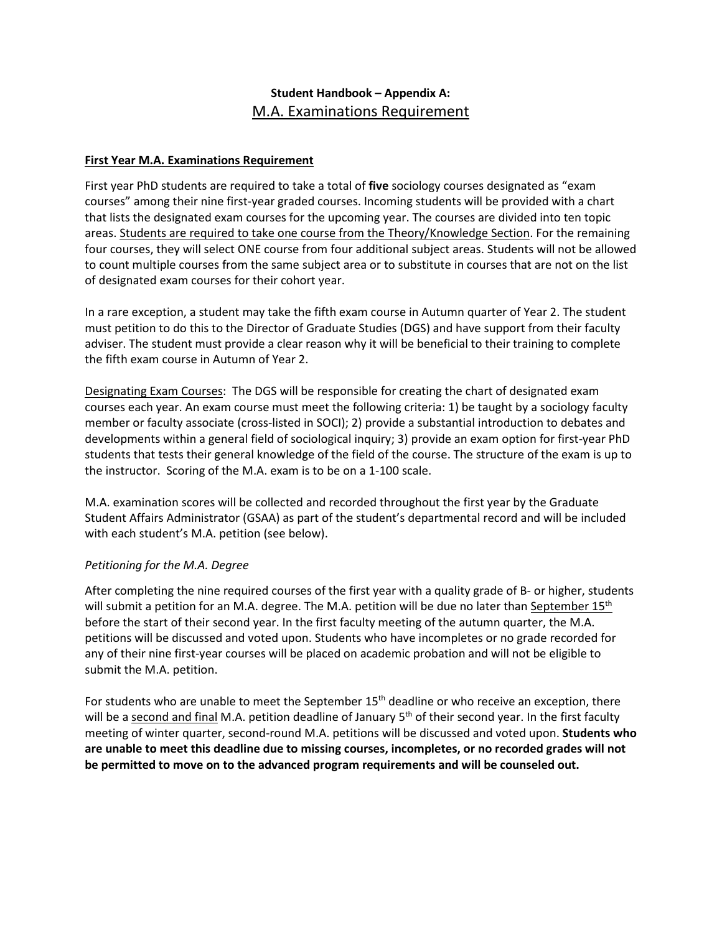# **Student Handbook – Appendix A:** M.A. Examinations Requirement

## **First Year M.A. Examinations Requirement**

First year PhD students are required to take a total of **five** sociology courses designated as "exam courses" among their nine first-year graded courses. Incoming students will be provided with a chart that lists the designated exam courses for the upcoming year. The courses are divided into ten topic areas. Students are required to take one course from the Theory/Knowledge Section. For the remaining four courses, they will select ONE course from four additional subject areas. Students will not be allowed to count multiple courses from the same subject area or to substitute in courses that are not on the list of designated exam courses for their cohort year.

In a rare exception, a student may take the fifth exam course in Autumn quarter of Year 2. The student must petition to do this to the Director of Graduate Studies (DGS) and have support from their faculty adviser. The student must provide a clear reason why it will be beneficial to their training to complete the fifth exam course in Autumn of Year 2.

Designating Exam Courses: The DGS will be responsible for creating the chart of designated exam courses each year. An exam course must meet the following criteria: 1) be taught by a sociology faculty member or faculty associate (cross-listed in SOCI); 2) provide a substantial introduction to debates and developments within a general field of sociological inquiry; 3) provide an exam option for first-year PhD students that tests their general knowledge of the field of the course. The structure of the exam is up to the instructor. Scoring of the M.A. exam is to be on a 1-100 scale.

M.A. examination scores will be collected and recorded throughout the first year by the Graduate Student Affairs Administrator (GSAA) as part of the student's departmental record and will be included with each student's M.A. petition (see below).

# *Petitioning for the M.A. Degree*

After completing the nine required courses of the first year with a quality grade of B- or higher, students will submit a petition for an M.A. degree. The M.A. petition will be due no later than September 15<sup>th</sup> before the start of their second year. In the first faculty meeting of the autumn quarter, the M.A. petitions will be discussed and voted upon. Students who have incompletes or no grade recorded for any of their nine first-year courses will be placed on academic probation and will not be eligible to submit the M.A. petition.

For students who are unable to meet the September 15<sup>th</sup> deadline or who receive an exception, there will be a second and final M.A. petition deadline of January 5<sup>th</sup> of their second year. In the first faculty meeting of winter quarter, second-round M.A. petitions will be discussed and voted upon. **Students who are unable to meet this deadline due to missing courses, incompletes, or no recorded grades will not be permitted to move on to the advanced program requirements and will be counseled out.**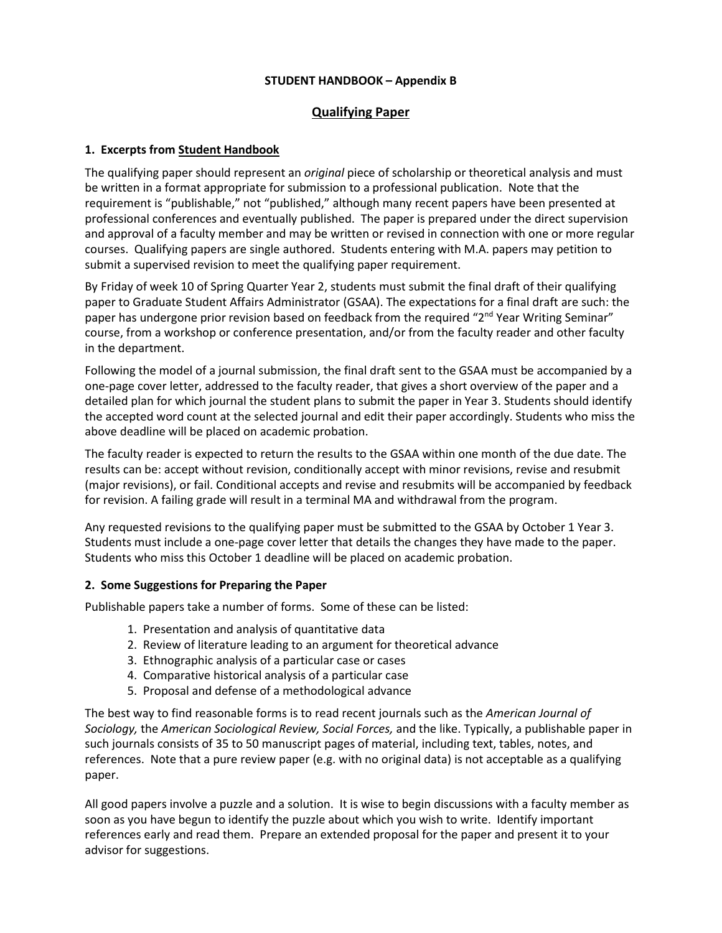### **STUDENT HANDBOOK – Appendix B**

# **Qualifying Paper**

## **1. Excerpts from Student Handbook**

The qualifying paper should represent an *original* piece of scholarship or theoretical analysis and must be written in a format appropriate for submission to a professional publication. Note that the requirement is "publishable," not "published," although many recent papers have been presented at professional conferences and eventually published. The paper is prepared under the direct supervision and approval of a faculty member and may be written or revised in connection with one or more regular courses. Qualifying papers are single authored. Students entering with M.A. papers may petition to submit a supervised revision to meet the qualifying paper requirement.

By Friday of week 10 of Spring Quarter Year 2, students must submit the final draft of their qualifying paper to Graduate Student Affairs Administrator (GSAA). The expectations for a final draft are such: the paper has undergone prior revision based on feedback from the required "2<sup>nd</sup> Year Writing Seminar" course, from a workshop or conference presentation, and/or from the faculty reader and other faculty in the department.

Following the model of a journal submission, the final draft sent to the GSAA must be accompanied by a one-page cover letter, addressed to the faculty reader, that gives a short overview of the paper and a detailed plan for which journal the student plans to submit the paper in Year 3. Students should identify the accepted word count at the selected journal and edit their paper accordingly. Students who miss the above deadline will be placed on academic probation.

The faculty reader is expected to return the results to the GSAA within one month of the due date. The results can be: accept without revision, conditionally accept with minor revisions, revise and resubmit (major revisions), or fail. Conditional accepts and revise and resubmits will be accompanied by feedback for revision. A failing grade will result in a terminal MA and withdrawal from the program.

Any requested revisions to the qualifying paper must be submitted to the GSAA by October 1 Year 3. Students must include a one-page cover letter that details the changes they have made to the paper. Students who miss this October 1 deadline will be placed on academic probation.

### **2. Some Suggestions for Preparing the Paper**

Publishable papers take a number of forms. Some of these can be listed:

- 1. Presentation and analysis of quantitative data
- 2. Review of literature leading to an argument for theoretical advance
- 3. Ethnographic analysis of a particular case or cases
- 4. Comparative historical analysis of a particular case
- 5. Proposal and defense of a methodological advance

The best way to find reasonable forms is to read recent journals such as the *American Journal of Sociology,* the *American Sociological Review, Social Forces,* and the like. Typically, a publishable paper in such journals consists of 35 to 50 manuscript pages of material, including text, tables, notes, and references. Note that a pure review paper (e.g. with no original data) is not acceptable as a qualifying paper.

All good papers involve a puzzle and a solution. It is wise to begin discussions with a faculty member as soon as you have begun to identify the puzzle about which you wish to write. Identify important references early and read them. Prepare an extended proposal for the paper and present it to your advisor for suggestions.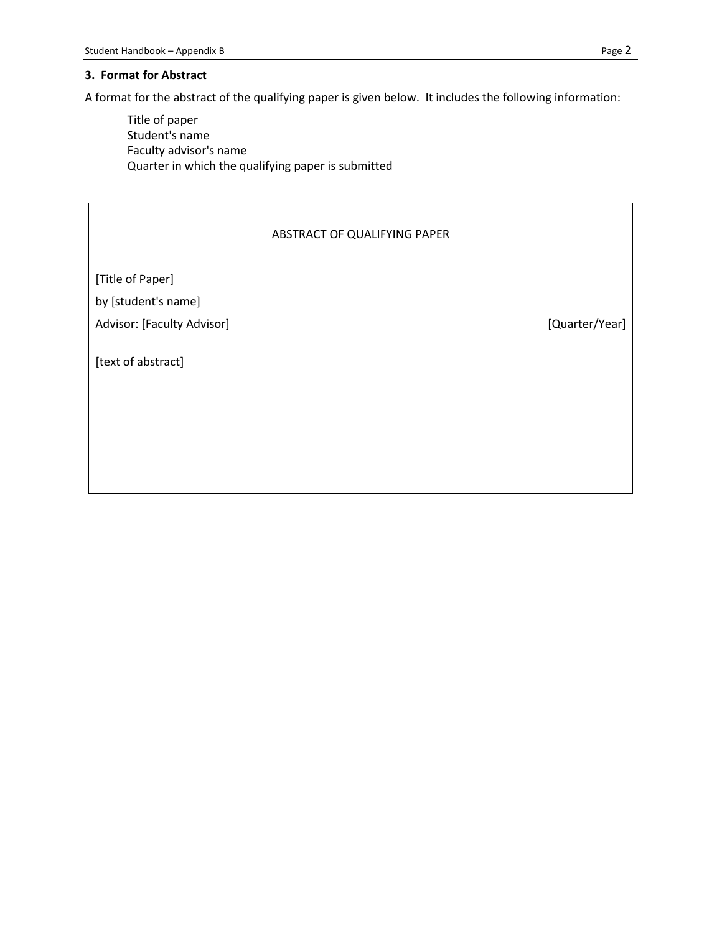#### **3. Format for Abstract**

A format for the abstract of the qualifying paper is given below. It includes the following information:

Title of paper Student's name Faculty advisor's name Quarter in which the qualifying paper is submitted

### ABSTRACT OF QUALIFYING PAPER

[Title of Paper] by [student's name]

Advisor: [Faculty Advisor] example and the set of the set of the set of the set of the set of the set of the set of the set of the set of the set of the set of the set of the set of the set of the set of the set of the set

[text of abstract]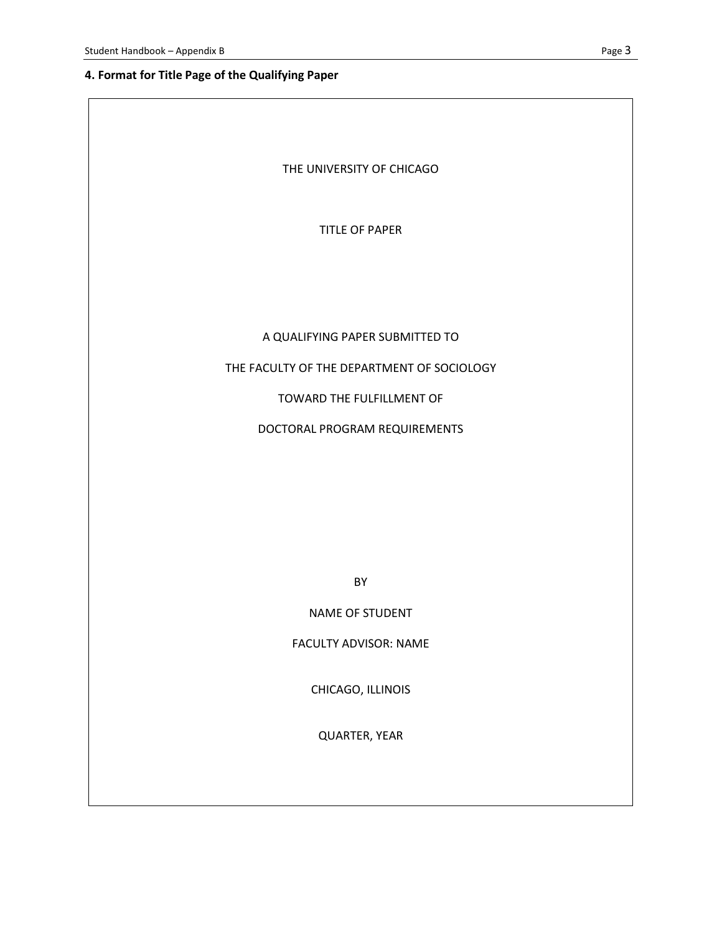# **4. Format for Title Page of the Qualifying Paper**

| THE UNIVERSITY OF CHICAGO                  |
|--------------------------------------------|
| <b>TITLE OF PAPER</b>                      |
|                                            |
|                                            |
| A QUALIFYING PAPER SUBMITTED TO            |
| THE FACULTY OF THE DEPARTMENT OF SOCIOLOGY |
| TOWARD THE FULFILLMENT OF                  |
| DOCTORAL PROGRAM REQUIREMENTS              |
|                                            |
|                                            |
|                                            |
|                                            |
| <b>BY</b>                                  |
| <b>NAME OF STUDENT</b>                     |

FACULTY ADVISOR: NAME

CHICAGO, ILLINOIS

QUARTER, YEAR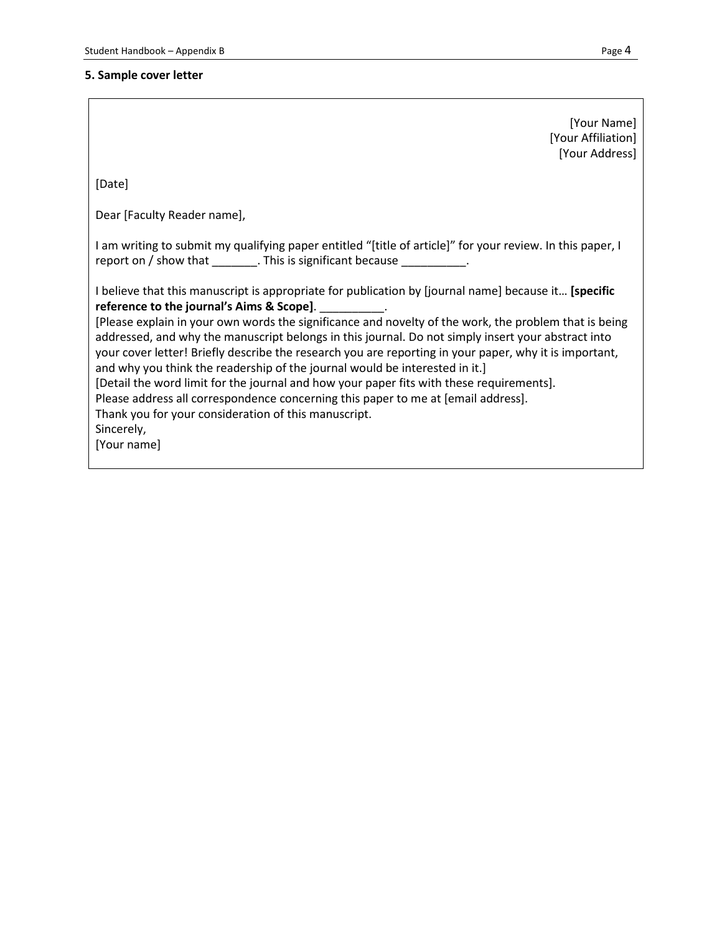# **5. Sample cover letter**

|                                                                                                                                                                                                                                                                                                                                                                                                                                                                                                                                                                                                                                                                                                                                                                                                                                 | [Your Name]<br>[Your Affiliation]<br>[Your Address] |
|---------------------------------------------------------------------------------------------------------------------------------------------------------------------------------------------------------------------------------------------------------------------------------------------------------------------------------------------------------------------------------------------------------------------------------------------------------------------------------------------------------------------------------------------------------------------------------------------------------------------------------------------------------------------------------------------------------------------------------------------------------------------------------------------------------------------------------|-----------------------------------------------------|
| [Date]                                                                                                                                                                                                                                                                                                                                                                                                                                                                                                                                                                                                                                                                                                                                                                                                                          |                                                     |
| Dear [Faculty Reader name],                                                                                                                                                                                                                                                                                                                                                                                                                                                                                                                                                                                                                                                                                                                                                                                                     |                                                     |
| I am writing to submit my qualifying paper entitled "[title of article]" for your review. In this paper, I<br>report on / show that ________. This is significant because __________.                                                                                                                                                                                                                                                                                                                                                                                                                                                                                                                                                                                                                                           |                                                     |
| I believe that this manuscript is appropriate for publication by [journal name] because it [specific<br>reference to the journal's Aims & Scope].<br>[Please explain in your own words the significance and novelty of the work, the problem that is being<br>addressed, and why the manuscript belongs in this journal. Do not simply insert your abstract into<br>your cover letter! Briefly describe the research you are reporting in your paper, why it is important,<br>and why you think the readership of the journal would be interested in it.]<br>[Detail the word limit for the journal and how your paper fits with these requirements].<br>Please address all correspondence concerning this paper to me at [email address].<br>Thank you for your consideration of this manuscript.<br>Sincerely,<br>[Your name] |                                                     |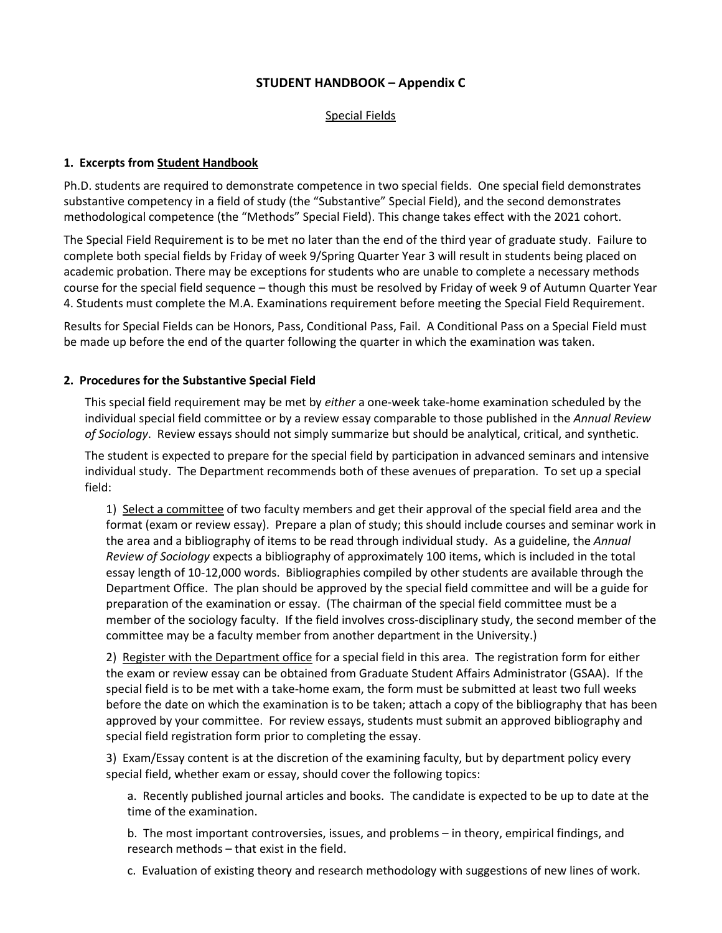## **STUDENT HANDBOOK – Appendix C**

#### Special Fields

### **1. Excerpts from Student Handbook**

Ph.D. students are required to demonstrate competence in two special fields. One special field demonstrates substantive competency in a field of study (the "Substantive" Special Field), and the second demonstrates methodological competence (the "Methods" Special Field). This change takes effect with the 2021 cohort.

The Special Field Requirement is to be met no later than the end of the third year of graduate study. Failure to complete both special fields by Friday of week 9/Spring Quarter Year 3 will result in students being placed on academic probation. There may be exceptions for students who are unable to complete a necessary methods course for the special field sequence – though this must be resolved by Friday of week 9 of Autumn Quarter Year 4. Students must complete the M.A. Examinations requirement before meeting the Special Field Requirement.

Results for Special Fields can be Honors, Pass, Conditional Pass, Fail. A Conditional Pass on a Special Field must be made up before the end of the quarter following the quarter in which the examination was taken.

#### **2. Procedures for the Substantive Special Field**

This special field requirement may be met by *either* a one-week take-home examination scheduled by the individual special field committee or by a review essay comparable to those published in the *Annual Review of Sociology*. Review essays should not simply summarize but should be analytical, critical, and synthetic.

The student is expected to prepare for the special field by participation in advanced seminars and intensive individual study. The Department recommends both of these avenues of preparation. To set up a special field:

1) Select a committee of two faculty members and get their approval of the special field area and the format (exam or review essay). Prepare a plan of study; this should include courses and seminar work in the area and a bibliography of items to be read through individual study. As a guideline, the *Annual Review of Sociology* expects a bibliography of approximately 100 items, which is included in the total essay length of 10-12,000 words. Bibliographies compiled by other students are available through the Department Office. The plan should be approved by the special field committee and will be a guide for preparation of the examination or essay. (The chairman of the special field committee must be a member of the sociology faculty. If the field involves cross-disciplinary study, the second member of the committee may be a faculty member from another department in the University.)

2) Register with the Department office for a special field in this area. The registration form for either the exam or review essay can be obtained from Graduate Student Affairs Administrator (GSAA). If the special field is to be met with a take-home exam, the form must be submitted at least two full weeks before the date on which the examination is to be taken; attach a copy of the bibliography that has been approved by your committee. For review essays, students must submit an approved bibliography and special field registration form prior to completing the essay.

3) Exam/Essay content is at the discretion of the examining faculty, but by department policy every special field, whether exam or essay, should cover the following topics:

a. Recently published journal articles and books. The candidate is expected to be up to date at the time of the examination.

b. The most important controversies, issues, and problems – in theory, empirical findings, and research methods – that exist in the field.

c. Evaluation of existing theory and research methodology with suggestions of new lines of work.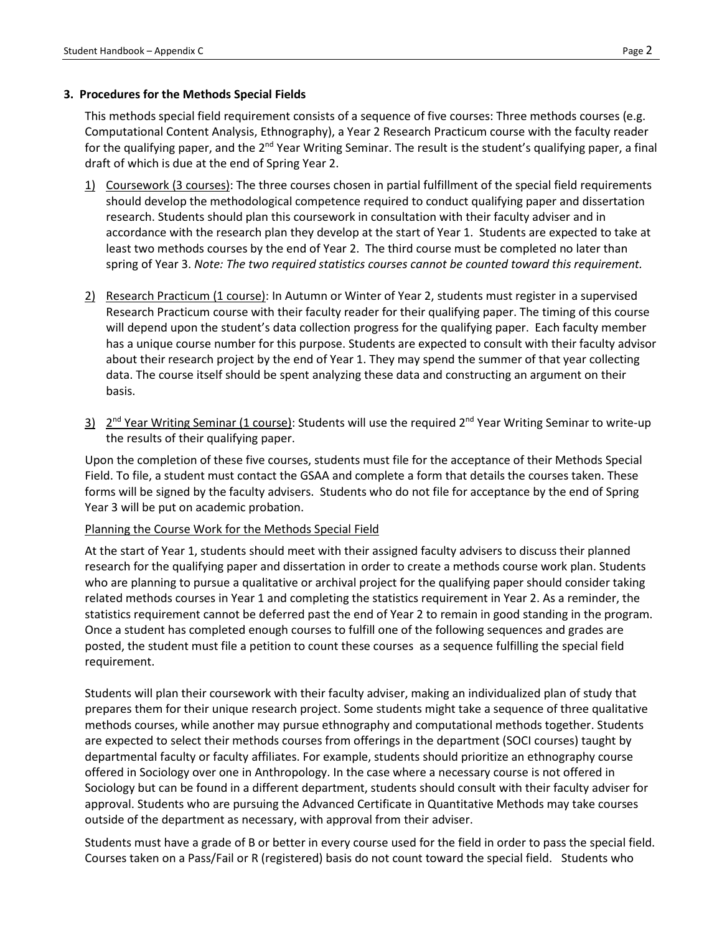### **3. Procedures for the Methods Special Fields**

This methods special field requirement consists of a sequence of five courses: Three methods courses (e.g. Computational Content Analysis, Ethnography), a Year 2 Research Practicum course with the faculty reader for the qualifying paper, and the 2<sup>nd</sup> Year Writing Seminar. The result is the student's qualifying paper, a final draft of which is due at the end of Spring Year 2.

- 1) Coursework (3 courses): The three courses chosen in partial fulfillment of the special field requirements should develop the methodological competence required to conduct qualifying paper and dissertation research. Students should plan this coursework in consultation with their faculty adviser and in accordance with the research plan they develop at the start of Year 1. Students are expected to take at least two methods courses by the end of Year 2. The third course must be completed no later than spring of Year 3. *Note: The two required statistics courses cannot be counted toward this requirement.*
- 2) Research Practicum (1 course): In Autumn or Winter of Year 2, students must register in a supervised Research Practicum course with their faculty reader for their qualifying paper. The timing of this course will depend upon the student's data collection progress for the qualifying paper. Each faculty member has a unique course number for this purpose. Students are expected to consult with their faculty advisor about their research project by the end of Year 1. They may spend the summer of that year collecting data. The course itself should be spent analyzing these data and constructing an argument on their basis.
- $3)$   $2<sup>nd</sup>$  Year Writing Seminar (1 course): Students will use the required 2<sup>nd</sup> Year Writing Seminar to write-up the results of their qualifying paper.

Upon the completion of these five courses, students must file for the acceptance of their Methods Special Field. To file, a student must contact the GSAA and complete a form that details the courses taken. These forms will be signed by the faculty advisers. Students who do not file for acceptance by the end of Spring Year 3 will be put on academic probation.

### Planning the Course Work for the Methods Special Field

At the start of Year 1, students should meet with their assigned faculty advisers to discuss their planned research for the qualifying paper and dissertation in order to create a methods course work plan. Students who are planning to pursue a qualitative or archival project for the qualifying paper should consider taking related methods courses in Year 1 and completing the statistics requirement in Year 2. As a reminder, the statistics requirement cannot be deferred past the end of Year 2 to remain in good standing in the program. Once a student has completed enough courses to fulfill one of the following sequences and grades are posted, the student must file a petition to count these courses as a sequence fulfilling the special field requirement.

Students will plan their coursework with their faculty adviser, making an individualized plan of study that prepares them for their unique research project. Some students might take a sequence of three qualitative methods courses, while another may pursue ethnography and computational methods together. Students are expected to select their methods courses from offerings in the department (SOCI courses) taught by departmental faculty or faculty affiliates. For example, students should prioritize an ethnography course offered in Sociology over one in Anthropology. In the case where a necessary course is not offered in Sociology but can be found in a different department, students should consult with their faculty adviser for approval. Students who are pursuing the Advanced Certificate in Quantitative Methods may take courses outside of the department as necessary, with approval from their adviser.

Students must have a grade of B or better in every course used for the field in order to pass the special field. Courses taken on a Pass/Fail or R (registered) basis do not count toward the special field. Students who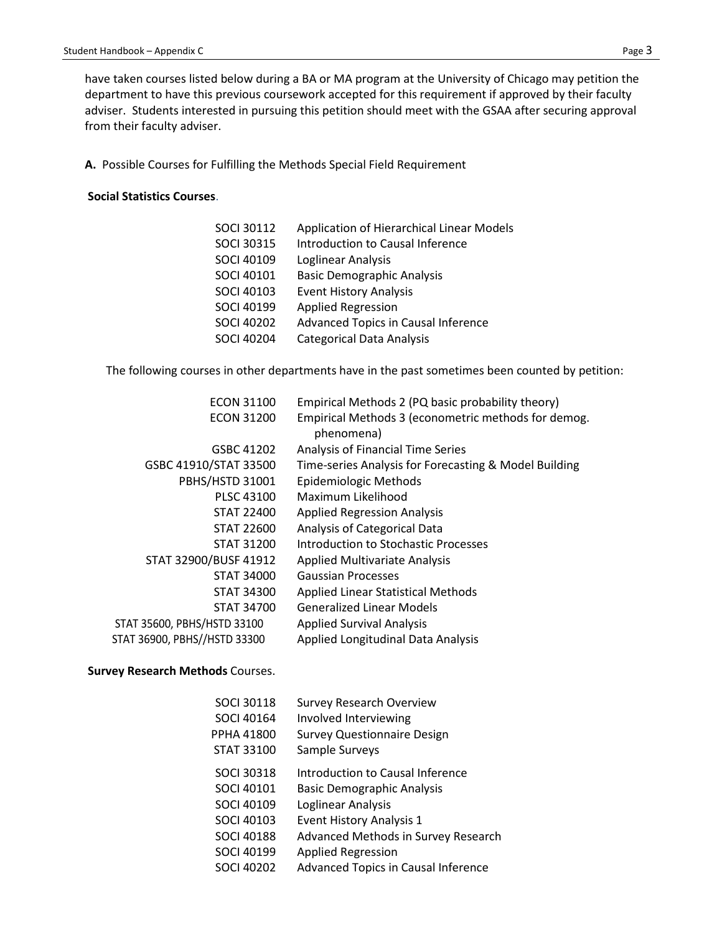have taken courses listed below during a BA or MA program at the University of Chicago may petition the department to have this previous coursework accepted for this requirement if approved by their faculty adviser. Students interested in pursuing this petition should meet with the GSAA after securing approval from their faculty adviser.

**A.** Possible Courses for Fulfilling the Methods Special Field Requirement

#### **Social Statistics Courses**.

| <b>SOCI 30112</b> | Application of Hierarchical Linear Models |
|-------------------|-------------------------------------------|
| <b>SOCI 30315</b> | Introduction to Causal Inference          |
| <b>SOCI 40109</b> | Loglinear Analysis                        |
| <b>SOCI 40101</b> | <b>Basic Demographic Analysis</b>         |
| <b>SOCI 40103</b> | <b>Event History Analysis</b>             |
| <b>SOCI 40199</b> | <b>Applied Regression</b>                 |
| <b>SOCI 40202</b> | Advanced Topics in Causal Inference       |
| <b>SOCI 40204</b> | <b>Categorical Data Analysis</b>          |

The following courses in other departments have in the past sometimes been counted by petition:

| <b>ECON 31100</b>            | Empirical Methods 2 (PQ basic probability theory)     |
|------------------------------|-------------------------------------------------------|
| <b>ECON 31200</b>            | Empirical Methods 3 (econometric methods for demog.   |
|                              | phenomena)                                            |
| GSBC 41202                   | Analysis of Financial Time Series                     |
| GSBC 41910/STAT 33500        | Time-series Analysis for Forecasting & Model Building |
| PBHS/HSTD 31001              | <b>Epidemiologic Methods</b>                          |
| <b>PLSC 43100</b>            | Maximum Likelihood                                    |
| STAT 22400                   | <b>Applied Regression Analysis</b>                    |
| STAT 22600                   | Analysis of Categorical Data                          |
| <b>STAT 31200</b>            | Introduction to Stochastic Processes                  |
| STAT 32900/BUSF 41912        | Applied Multivariate Analysis                         |
| STAT 34000                   | <b>Gaussian Processes</b>                             |
| <b>STAT 34300</b>            | <b>Applied Linear Statistical Methods</b>             |
| <b>STAT 34700</b>            | <b>Generalized Linear Models</b>                      |
| STAT 35600, PBHS/HSTD 33100  | <b>Applied Survival Analysis</b>                      |
| STAT 36900, PBHS//HSTD 33300 | <b>Applied Longitudinal Data Analysis</b>             |

#### **Survey Research Methods** Courses.

| <b>SOCI 30118</b> | <b>Survey Research Overview</b>            |
|-------------------|--------------------------------------------|
| SOCI 40164        | Involved Interviewing                      |
| PPHA 41800        | <b>Survey Questionnaire Design</b>         |
| <b>STAT 33100</b> | Sample Surveys                             |
| <b>SOCI 30318</b> | Introduction to Causal Inference           |
| SOCI 40101        | <b>Basic Demographic Analysis</b>          |
| SOCI 40109        | Loglinear Analysis                         |
| SOCI 40103        | <b>Event History Analysis 1</b>            |
| <b>SOCI 40188</b> | Advanced Methods in Survey Research        |
| SOCI 40199        | <b>Applied Regression</b>                  |
| <b>SOCI 40202</b> | <b>Advanced Topics in Causal Inference</b> |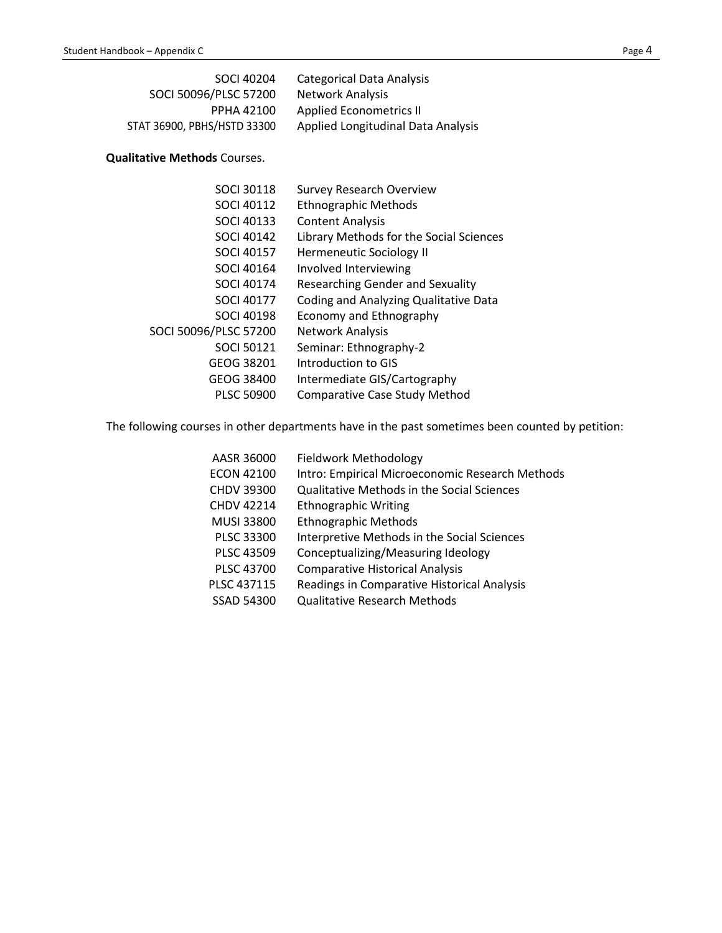| SOCI 40204                  | Categorical Data Analysis          |
|-----------------------------|------------------------------------|
| SOCI 50096/PLSC 57200       | Network Analysis                   |
| <b>PPHA 42100</b>           | Applied Econometrics II            |
| STAT 36900, PBHS/HSTD 33300 | Applied Longitudinal Data Analysis |

# **Qualitative Methods** Courses.

| <b>SOCI 30118</b>     | <b>Survey Research Overview</b>         |
|-----------------------|-----------------------------------------|
| <b>SOCI 40112</b>     | <b>Ethnographic Methods</b>             |
| <b>SOCI 40133</b>     | <b>Content Analysis</b>                 |
| <b>SOCI 40142</b>     | Library Methods for the Social Sciences |
| <b>SOCI 40157</b>     | <b>Hermeneutic Sociology II</b>         |
| SOCI 40164            | Involved Interviewing                   |
| <b>SOCI 40174</b>     | <b>Researching Gender and Sexuality</b> |
| <b>SOCI 40177</b>     | Coding and Analyzing Qualitative Data   |
| SOCI 40198            | Economy and Ethnography                 |
| SOCI 50096/PLSC 57200 | Network Analysis                        |
| <b>SOCI 50121</b>     | Seminar: Ethnography-2                  |
| GEOG 38201            | Introduction to GIS                     |
| GEOG 38400            | Intermediate GIS/Cartography            |
| <b>PLSC 50900</b>     | <b>Comparative Case Study Method</b>    |

The following courses in other departments have in the past sometimes been counted by petition:

| AASR 36000        | <b>Fieldwork Methodology</b>                    |
|-------------------|-------------------------------------------------|
| <b>ECON 42100</b> | Intro: Empirical Microeconomic Research Methods |
| <b>CHDV 39300</b> | Qualitative Methods in the Social Sciences      |
| <b>CHDV 42214</b> | <b>Ethnographic Writing</b>                     |
| MUSI 33800        | <b>Ethnographic Methods</b>                     |
| PLSC 33300        | Interpretive Methods in the Social Sciences     |
| <b>PLSC 43509</b> | Conceptualizing/Measuring Ideology              |
| <b>PLSC 43700</b> | <b>Comparative Historical Analysis</b>          |
| PLSC 437115       | Readings in Comparative Historical Analysis     |
| SSAD 54300        | <b>Qualitative Research Methods</b>             |
|                   |                                                 |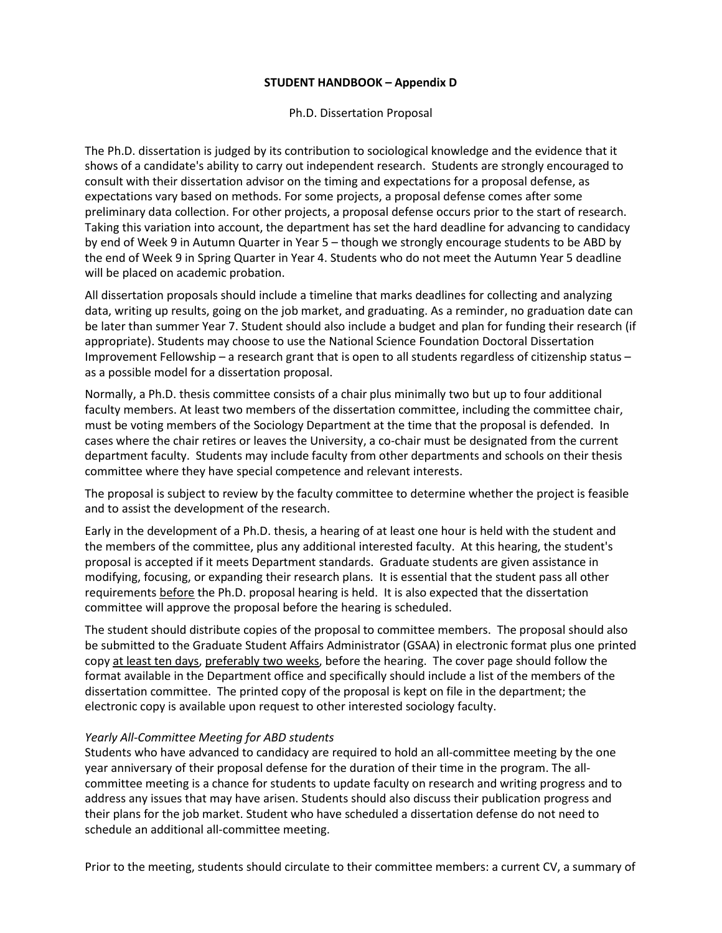### **STUDENT HANDBOOK – Appendix D**

Ph.D. Dissertation Proposal

The Ph.D. dissertation is judged by its contribution to sociological knowledge and the evidence that it shows of a candidate's ability to carry out independent research. Students are strongly encouraged to consult with their dissertation advisor on the timing and expectations for a proposal defense, as expectations vary based on methods. For some projects, a proposal defense comes after some preliminary data collection. For other projects, a proposal defense occurs prior to the start of research. Taking this variation into account, the department has set the hard deadline for advancing to candidacy by end of Week 9 in Autumn Quarter in Year 5 – though we strongly encourage students to be ABD by the end of Week 9 in Spring Quarter in Year 4. Students who do not meet the Autumn Year 5 deadline will be placed on academic probation.

All dissertation proposals should include a timeline that marks deadlines for collecting and analyzing data, writing up results, going on the job market, and graduating. As a reminder, no graduation date can be later than summer Year 7. Student should also include a budget and plan for funding their research (if appropriate). Students may choose to use the National Science Foundation Doctoral Dissertation Improvement Fellowship – a research grant that is open to all students regardless of citizenship status – as a possible model for a dissertation proposal.

Normally, a Ph.D. thesis committee consists of a chair plus minimally two but up to four additional faculty members. At least two members of the dissertation committee, including the committee chair, must be voting members of the Sociology Department at the time that the proposal is defended. In cases where the chair retires or leaves the University, a co-chair must be designated from the current department faculty. Students may include faculty from other departments and schools on their thesis committee where they have special competence and relevant interests.

The proposal is subject to review by the faculty committee to determine whether the project is feasible and to assist the development of the research.

Early in the development of a Ph.D. thesis, a hearing of at least one hour is held with the student and the members of the committee, plus any additional interested faculty. At this hearing, the student's proposal is accepted if it meets Department standards. Graduate students are given assistance in modifying, focusing, or expanding their research plans. It is essential that the student pass all other requirements before the Ph.D. proposal hearing is held. It is also expected that the dissertation committee will approve the proposal before the hearing is scheduled.

The student should distribute copies of the proposal to committee members. The proposal should also be submitted to the Graduate Student Affairs Administrator (GSAA) in electronic format plus one printed copy at least ten days, preferably two weeks, before the hearing. The cover page should follow the format available in the Department office and specifically should include a list of the members of the dissertation committee. The printed copy of the proposal is kept on file in the department; the electronic copy is available upon request to other interested sociology faculty.

#### *Yearly All-Committee Meeting for ABD students*

Students who have advanced to candidacy are required to hold an all-committee meeting by the one year anniversary of their proposal defense for the duration of their time in the program. The allcommittee meeting is a chance for students to update faculty on research and writing progress and to address any issues that may have arisen. Students should also discuss their publication progress and their plans for the job market. Student who have scheduled a dissertation defense do not need to schedule an additional all-committee meeting.

Prior to the meeting, students should circulate to their committee members: a current CV, a summary of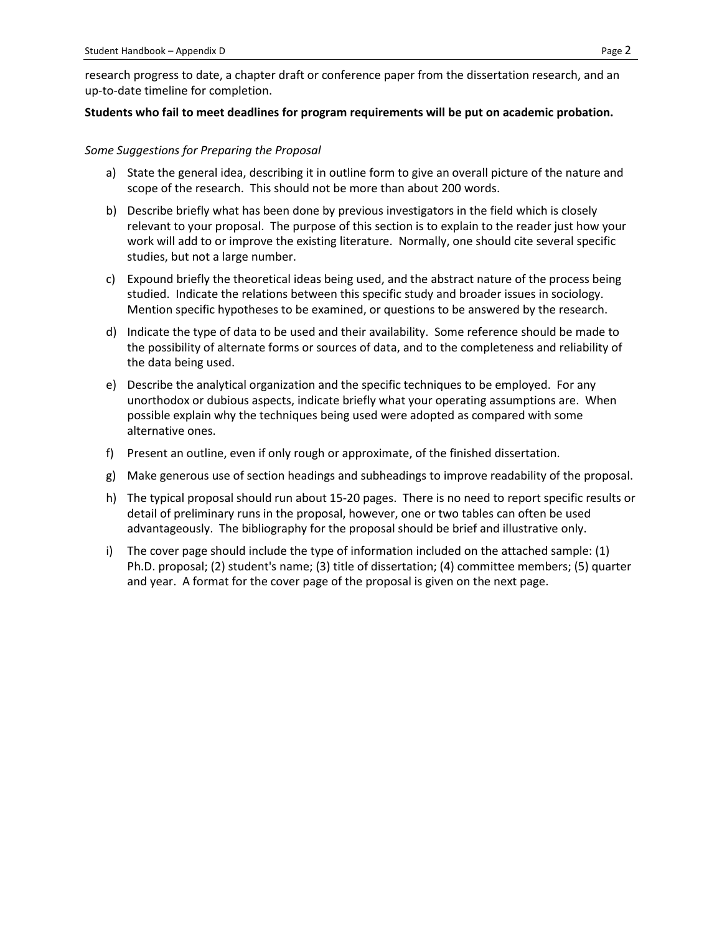research progress to date, a chapter draft or conference paper from the dissertation research, and an up-to-date timeline for completion.

#### **Students who fail to meet deadlines for program requirements will be put on academic probation.**

#### *Some Suggestions for Preparing the Proposal*

- a) State the general idea, describing it in outline form to give an overall picture of the nature and scope of the research. This should not be more than about 200 words.
- b) Describe briefly what has been done by previous investigators in the field which is closely relevant to your proposal. The purpose of this section is to explain to the reader just how your work will add to or improve the existing literature. Normally, one should cite several specific studies, but not a large number.
- c) Expound briefly the theoretical ideas being used, and the abstract nature of the process being studied. Indicate the relations between this specific study and broader issues in sociology. Mention specific hypotheses to be examined, or questions to be answered by the research.
- d) Indicate the type of data to be used and their availability. Some reference should be made to the possibility of alternate forms or sources of data, and to the completeness and reliability of the data being used.
- e) Describe the analytical organization and the specific techniques to be employed. For any unorthodox or dubious aspects, indicate briefly what your operating assumptions are. When possible explain why the techniques being used were adopted as compared with some alternative ones.
- f) Present an outline, even if only rough or approximate, of the finished dissertation.
- g) Make generous use of section headings and subheadings to improve readability of the proposal.
- h) The typical proposal should run about 15-20 pages. There is no need to report specific results or detail of preliminary runs in the proposal, however, one or two tables can often be used advantageously. The bibliography for the proposal should be brief and illustrative only.
- i) The cover page should include the type of information included on the attached sample: (1) Ph.D. proposal; (2) student's name; (3) title of dissertation; (4) committee members; (5) quarter and year. A format for the cover page of the proposal is given on the next page.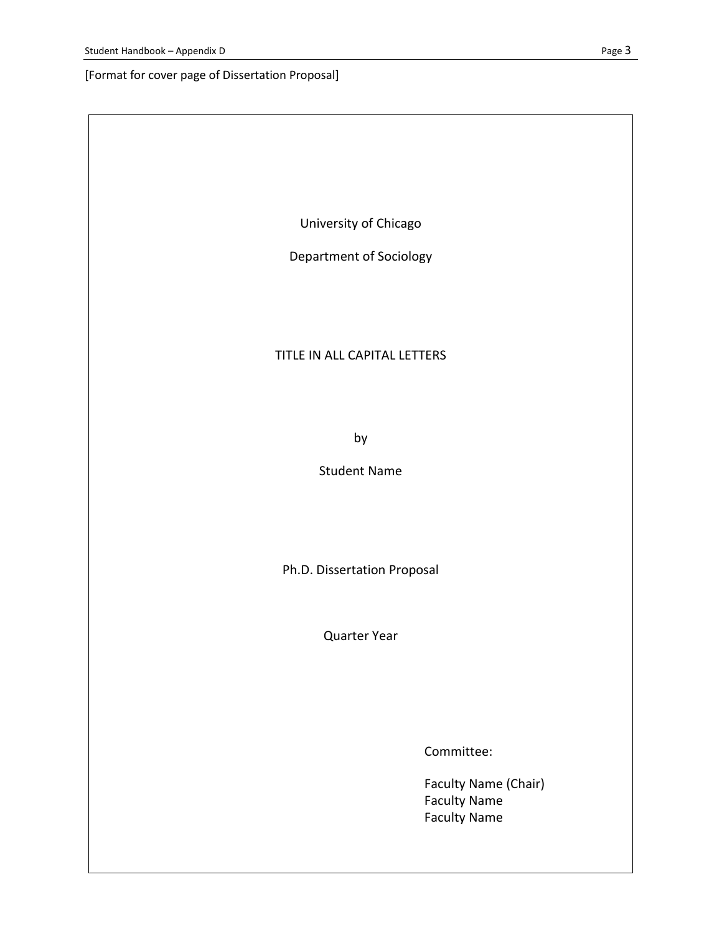[Format for cover page of Dissertation Proposal]

University of Chicago

Department of Sociology

### TITLE IN ALL CAPITAL LETTERS

by

Student Name

Ph.D. Dissertation Proposal

Quarter Year

Committee:

Faculty Name (Chair) Faculty Name Faculty Name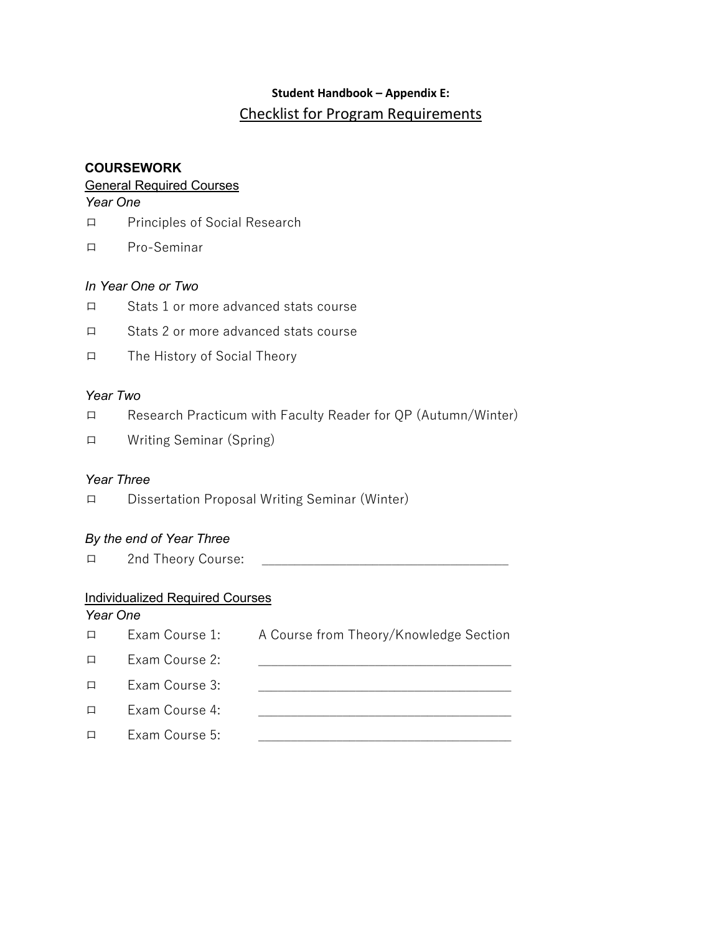# **Student Handbook – Appendix E:** Checklist for Program Requirements

# **COURSEWORK**

# General Required Courses

*Year One*

- ロ Principles of Social Research
- ロ Pro-Seminar

# *In Year One or Two*

- ロ Stats 1 or more advanced stats course
- ロ Stats 2 or more advanced stats course
- ロ The History of Social Theory

# *Year Two*

- ロ Research Practicum with Faculty Reader for QP (Autumn/Winter)
- ロ Writing Seminar (Spring)

# *Year Three*

ロ Dissertation Proposal Writing Seminar (Winter)

# *By the end of Year Three*

ロ 2nd Theory Course:

# Individualized Required Courses

# *Year One* ロ Exam Course 1: A Course from Theory/Knowledge Section  $\Box$  Exam Course 2: ロ Exam Course 3: ロ Exam Course 4:  $\Box$  Exam Course 5: